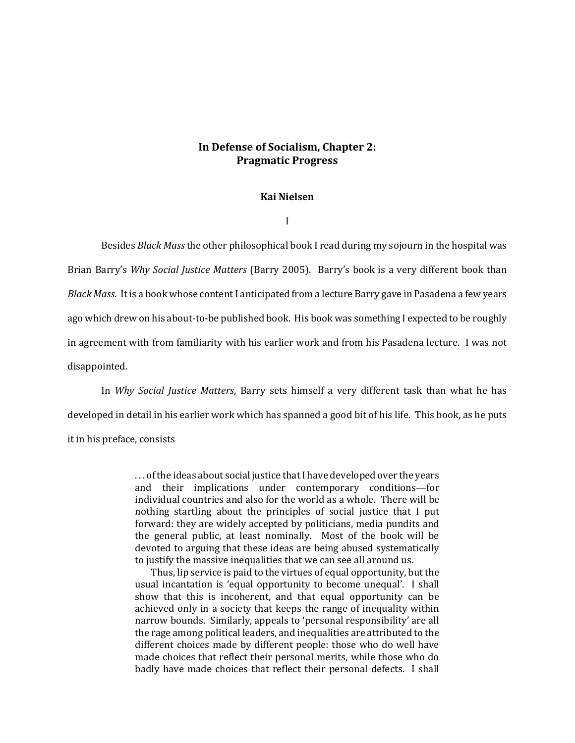# **In Defense of Socialism, Chapter 2: Pragmatic Progress**

## **Kai Nielsen**

I

Besides *Black Mass* the other philosophical book I read during my sojourn in the hospital was Brian Barry's *Why Social Justice Matters* (Barry 2005). Barry's book is a very different book than *Black Mass*. It is a book whose content I anticipated from a lecture Barry gave in Pasadena a few years ago which drew on his about-to-be published book. His book was something I expected to be roughly in agreement with from familiarity with his earlier work and from his Pasadena lecture. I was not disappointed.

In *Why Social Justice Matters*, Barry sets himself a very different task than what he has developed in detail in his earlier work which has spanned a good bit of his life. This book, as he puts it in his preface, consists

> . . . of the ideas about social justice that I have developed over the years and their implications under contemporary conditions—for individual countries and also for the world as a whole. There will be nothing startling about the principles of social justice that I put forward: they are widely accepted by politicians, media pundits and the general public, at least nominally. Most of the book will be devoted to arguing that these ideas are being abused systematically to justify the massive inequalities that we can see all around us.

> Thus, lip service is paid to the virtues of equal opportunity, but the usual incantation is 'equal opportunity to become unequal'. I shall show that this is incoherent, and that equal opportunity can be achieved only in a society that keeps the range of inequality within narrow bounds. Similarly, appeals to 'personal responsibility' are all the rage among political leaders, and inequalities are attributed to the different choices made by different people: those who do well have made choices that reflect their personal merits, while those who do badly have made choices that reflect their personal defects. I shall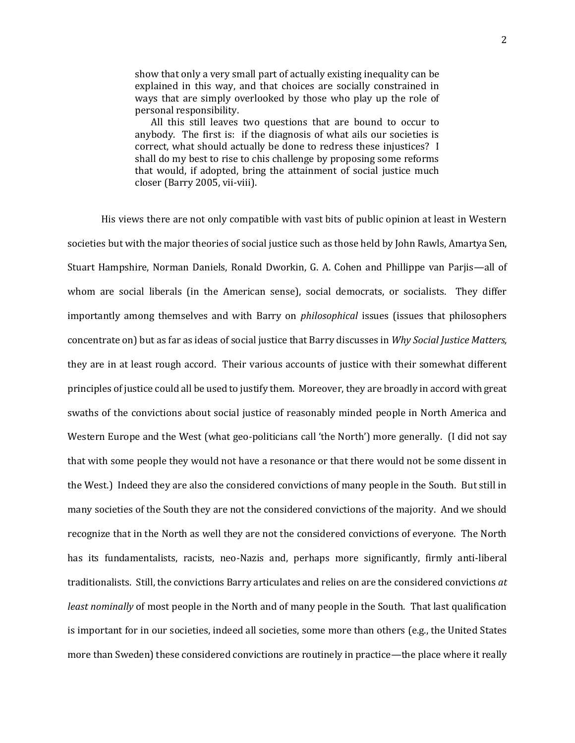show that only a very small part of actually existing inequality can be explained in this way, and that choices are socially constrained in ways that are simply overlooked by those who play up the role of personal responsibility.

 All this still leaves two questions that are bound to occur to anybody. The first is: if the diagnosis of what ails our societies is correct, what should actually be done to redress these injustices? I shall do my best to rise to chis challenge by proposing some reforms that would, if adopted, bring the attainment of social justice much closer (Barry 2005, vii-viii).

His views there are not only compatible with vast bits of public opinion at least in Western societies but with the major theories of social justice such as those held by John Rawls, Amartya Sen, Stuart Hampshire, Norman Daniels, Ronald Dworkin, G. A. Cohen and Phillippe van Parjis—all of whom are social liberals (in the American sense), social democrats, or socialists. They differ importantly among themselves and with Barry on *philosophical* issues (issues that philosophers concentrate on) but as far as ideas of social justice that Barry discusses in *Why Social Justice Matters,*  they are in at least rough accord. Their various accounts of justice with their somewhat different principles of justice could all be used to justify them. Moreover, they are broadly in accord with great swaths of the convictions about social justice of reasonably minded people in North America and Western Europe and the West (what geo-politicians call 'the North') more generally. (I did not say that with some people they would not have a resonance or that there would not be some dissent in the West.) Indeed they are also the considered convictions of many people in the South. But still in many societies of the South they are not the considered convictions of the majority. And we should recognize that in the North as well they are not the considered convictions of everyone. The North has its fundamentalists, racists, neo-Nazis and, perhaps more significantly, firmly anti-liberal traditionalists. Still, the convictions Barry articulates and relies on are the considered convictions *at least nominally* of most people in the North and of many people in the South. That last qualification is important for in our societies, indeed all societies, some more than others (e.g., the United States more than Sweden) these considered convictions are routinely in practice—the place where it really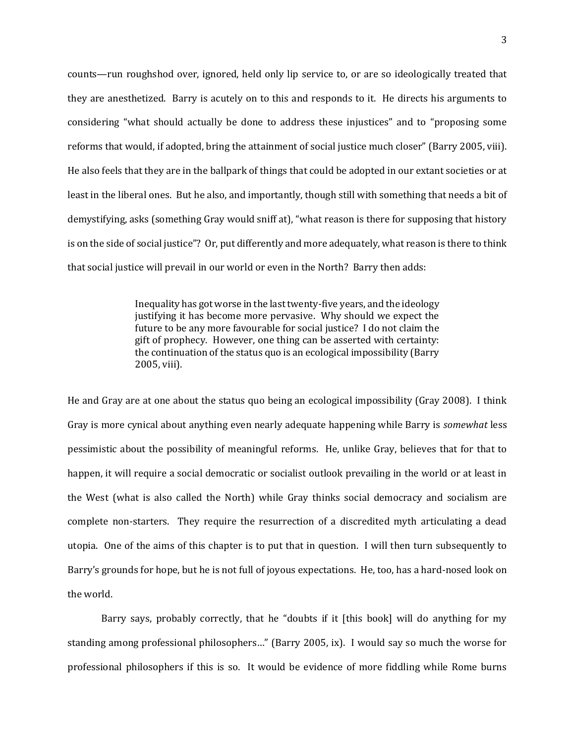counts—run roughshod over, ignored, held only lip service to, or are so ideologically treated that they are anesthetized. Barry is acutely on to this and responds to it. He directs his arguments to considering "what should actually be done to address these injustices" and to "proposing some reforms that would, if adopted, bring the attainment of social justice much closer" (Barry 2005, viii). He also feels that they are in the ballpark of things that could be adopted in our extant societies or at least in the liberal ones. But he also, and importantly, though still with something that needs a bit of demystifying, asks (something Gray would sniff at), "what reason is there for supposing that history is on the side of social justice"? Or, put differently and more adequately, what reason is there to think that social justice will prevail in our world or even in the North? Barry then adds:

> Inequality has got worse in the last twenty-five years, and the ideology justifying it has become more pervasive. Why should we expect the future to be any more favourable for social justice? I do not claim the gift of prophecy. However, one thing can be asserted with certainty: the continuation of the status quo is an ecological impossibility (Barry 2005, viii).

He and Gray are at one about the status quo being an ecological impossibility (Gray 2008). I think Gray is more cynical about anything even nearly adequate happening while Barry is *somewhat* less pessimistic about the possibility of meaningful reforms. He, unlike Gray, believes that for that to happen, it will require a social democratic or socialist outlook prevailing in the world or at least in the West (what is also called the North) while Gray thinks social democracy and socialism are complete non-starters. They require the resurrection of a discredited myth articulating a dead utopia. One of the aims of this chapter is to put that in question. I will then turn subsequently to Barry's grounds for hope, but he is not full of joyous expectations. He, too, has a hard-nosed look on the world.

Barry says, probably correctly, that he "doubts if it [this book] will do anything for my standing among professional philosophers…" (Barry 2005, ix). I would say so much the worse for professional philosophers if this is so. It would be evidence of more fiddling while Rome burns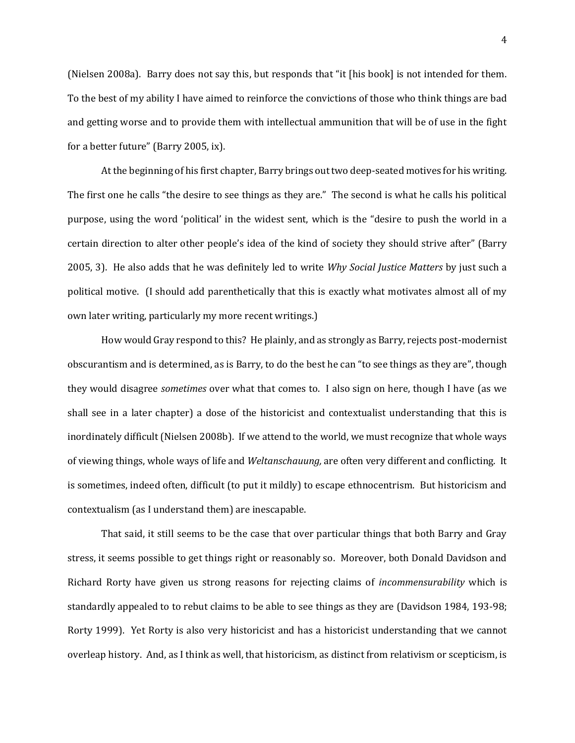(Nielsen 2008a). Barry does not say this, but responds that "it [his book] is not intended for them. To the best of my ability I have aimed to reinforce the convictions of those who think things are bad and getting worse and to provide them with intellectual ammunition that will be of use in the fight for a better future" (Barry 2005, ix).

At the beginning of his first chapter, Barry brings out two deep-seated motives for his writing. The first one he calls "the desire to see things as they are." The second is what he calls his political purpose, using the word 'political' in the widest sent, which is the "desire to push the world in a certain direction to alter other people's idea of the kind of society they should strive after" (Barry 2005, 3). He also adds that he was definitely led to write *Why Social Justice Matters* by just such a political motive. (I should add parenthetically that this is exactly what motivates almost all of my own later writing, particularly my more recent writings.)

How would Gray respond to this? He plainly, and as strongly as Barry, rejects post-modernist obscurantism and is determined, as is Barry, to do the best he can "to see things as they are", though they would disagree *sometimes* over what that comes to. I also sign on here, though I have (as we shall see in a later chapter) a dose of the historicist and contextualist understanding that this is inordinately difficult (Nielsen 2008b). If we attend to the world, we must recognize that whole ways of viewing things, whole ways of life and *Weltanschauung,* are often very different and conflicting. It is sometimes, indeed often, difficult (to put it mildly) to escape ethnocentrism. But historicism and contextualism (as I understand them) are inescapable.

That said, it still seems to be the case that over particular things that both Barry and Gray stress, it seems possible to get things right or reasonably so. Moreover, both Donald Davidson and Richard Rorty have given us strong reasons for rejecting claims of *incommensurability* which is standardly appealed to to rebut claims to be able to see things as they are (Davidson 1984, 193-98; Rorty 1999). Yet Rorty is also very historicist and has a historicist understanding that we cannot overleap history. And, as I think as well, that historicism, as distinct from relativism or scepticism, is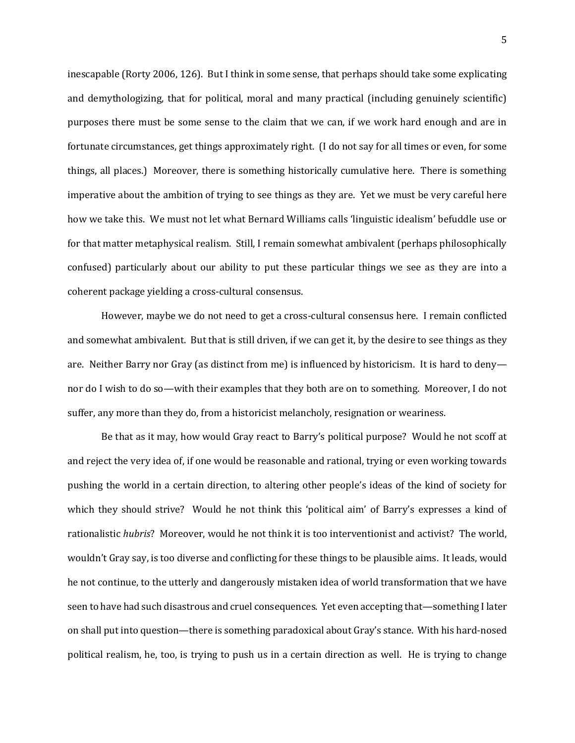inescapable (Rorty 2006, 126). But I think in some sense, that perhaps should take some explicating and demythologizing, that for political, moral and many practical (including genuinely scientific) purposes there must be some sense to the claim that we can, if we work hard enough and are in fortunate circumstances, get things approximately right. (I do not say for all times or even, for some things, all places.) Moreover, there is something historically cumulative here. There is something imperative about the ambition of trying to see things as they are. Yet we must be very careful here how we take this. We must not let what Bernard Williams calls 'linguistic idealism' befuddle use or for that matter metaphysical realism. Still, I remain somewhat ambivalent (perhaps philosophically confused) particularly about our ability to put these particular things we see as they are into a coherent package yielding a cross-cultural consensus.

However, maybe we do not need to get a cross-cultural consensus here. I remain conflicted and somewhat ambivalent. But that is still driven, if we can get it, by the desire to see things as they are. Neither Barry nor Gray (as distinct from me) is influenced by historicism. It is hard to deny nor do I wish to do so—with their examples that they both are on to something. Moreover, I do not suffer, any more than they do, from a historicist melancholy, resignation or weariness.

Be that as it may, how would Gray react to Barry's political purpose? Would he not scoff at and reject the very idea of, if one would be reasonable and rational, trying or even working towards pushing the world in a certain direction, to altering other people's ideas of the kind of society for which they should strive? Would he not think this 'political aim' of Barry's expresses a kind of rationalistic *hubris*? Moreover, would he not think it is too interventionist and activist? The world, wouldn't Gray say, is too diverse and conflicting for these things to be plausible aims. It leads, would he not continue, to the utterly and dangerously mistaken idea of world transformation that we have seen to have had such disastrous and cruel consequences. Yet even accepting that—something I later on shall put into question—there is something paradoxical about Gray's stance. With his hard-nosed political realism, he, too, is trying to push us in a certain direction as well. He is trying to change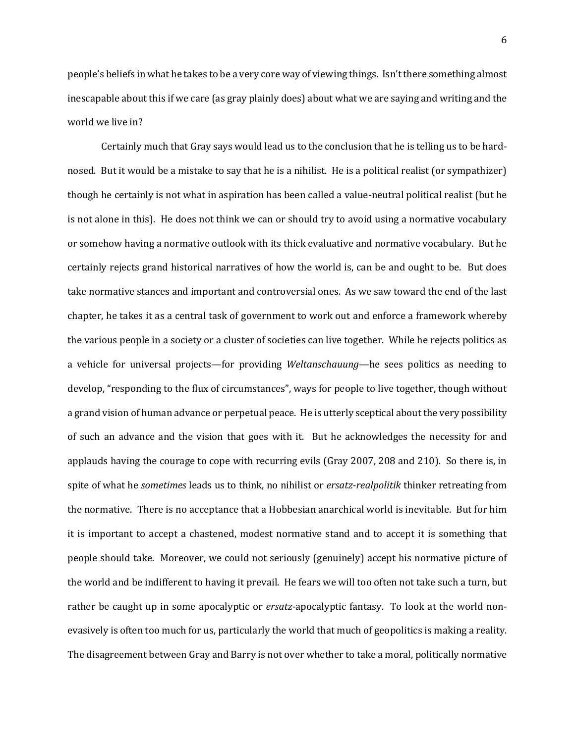people's beliefs in what he takes to be a very core way of viewing things. Isn't there something almost inescapable about this if we care (as gray plainly does) about what we are saying and writing and the world we live in?

Certainly much that Gray says would lead us to the conclusion that he is telling us to be hardnosed. But it would be a mistake to say that he is a nihilist. He is a political realist (or sympathizer) though he certainly is not what in aspiration has been called a value-neutral political realist (but he is not alone in this). He does not think we can or should try to avoid using a normative vocabulary or somehow having a normative outlook with its thick evaluative and normative vocabulary. But he certainly rejects grand historical narratives of how the world is, can be and ought to be. But does take normative stances and important and controversial ones. As we saw toward the end of the last chapter, he takes it as a central task of government to work out and enforce a framework whereby the various people in a society or a cluster of societies can live together. While he rejects politics as a vehicle for universal projects—for providing *Weltanschauung*—he sees politics as needing to develop, "responding to the flux of circumstances", ways for people to live together, though without a grand vision of human advance or perpetual peace. He is utterly sceptical about the very possibility of such an advance and the vision that goes with it. But he acknowledges the necessity for and applauds having the courage to cope with recurring evils (Gray 2007, 208 and 210). So there is, in spite of what he *sometimes* leads us to think, no nihilist or *ersatz-realpolitik* thinker retreating from the normative. There is no acceptance that a Hobbesian anarchical world is inevitable. But for him it is important to accept a chastened, modest normative stand and to accept it is something that people should take. Moreover, we could not seriously (genuinely) accept his normative picture of the world and be indifferent to having it prevail. He fears we will too often not take such a turn, but rather be caught up in some apocalyptic or *ersatz-*apocalyptic fantasy. To look at the world nonevasively is often too much for us, particularly the world that much of geopolitics is making a reality. The disagreement between Gray and Barry is not over whether to take a moral, politically normative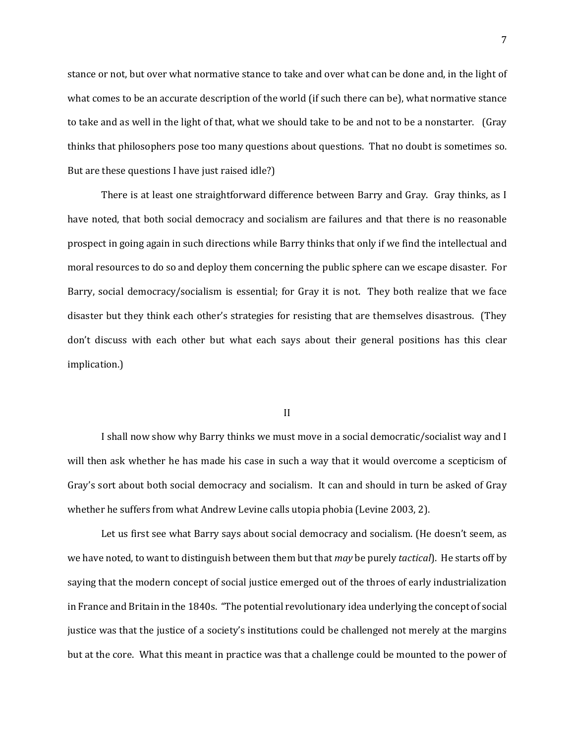stance or not, but over what normative stance to take and over what can be done and, in the light of what comes to be an accurate description of the world (if such there can be), what normative stance to take and as well in the light of that, what we should take to be and not to be a nonstarter. (Gray thinks that philosophers pose too many questions about questions. That no doubt is sometimes so. But are these questions I have just raised idle?)

There is at least one straightforward difference between Barry and Gray. Gray thinks, as I have noted, that both social democracy and socialism are failures and that there is no reasonable prospect in going again in such directions while Barry thinks that only if we find the intellectual and moral resources to do so and deploy them concerning the public sphere can we escape disaster. For Barry, social democracy/socialism is essential; for Gray it is not. They both realize that we face disaster but they think each other's strategies for resisting that are themselves disastrous. (They don't discuss with each other but what each says about their general positions has this clear implication.)

II

I shall now show why Barry thinks we must move in a social democratic/socialist way and I will then ask whether he has made his case in such a way that it would overcome a scepticism of Gray's sort about both social democracy and socialism. It can and should in turn be asked of Gray whether he suffers from what Andrew Levine calls utopia phobia (Levine 2003, 2).

Let us first see what Barry says about social democracy and socialism. (He doesn't seem, as we have noted, to want to distinguish between them but that *may* be purely *tactical*). He starts off by saying that the modern concept of social justice emerged out of the throes of early industrialization in France and Britain in the 1840s. "The potential revolutionary idea underlying the concept of social justice was that the justice of a society's institutions could be challenged not merely at the margins but at the core. What this meant in practice was that a challenge could be mounted to the power of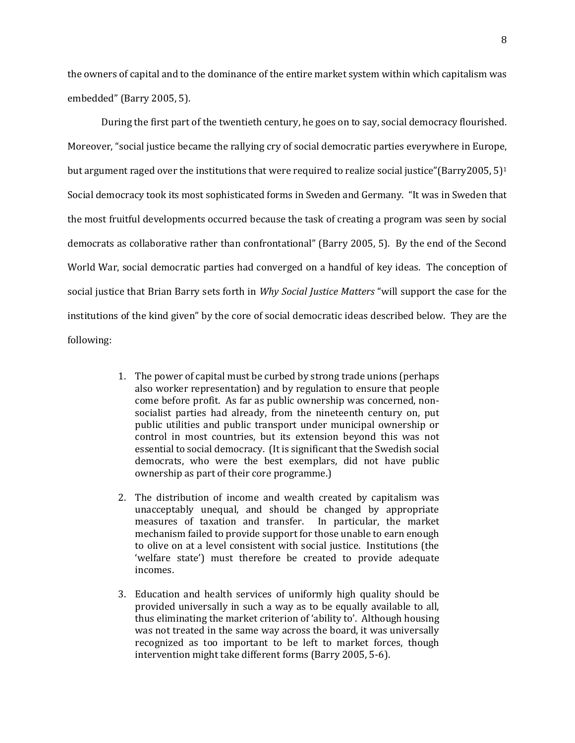the owners of capital and to the dominance of the entire market system within which capitalism was embedded" (Barry 2005, 5).

During the first part of the twentieth century, he goes on to say, social democracy flourished. Moreover, "social justice became the rallying cry of social democratic parties everywhere in Europe, but argument raged over the institutions that were required to realize social justice"(Barry2005, 5)<sup>1</sup> Social democracy took its most sophisticated forms in Sweden and Germany. "It was in Sweden that the most fruitful developments occurred because the task of creating a program was seen by social democrats as collaborative rather than confrontational" (Barry 2005, 5). By the end of the Second World War, social democratic parties had converged on a handful of key ideas. The conception of social justice that Brian Barry sets forth in *Why Social Justice Matters* "will support the case for the institutions of the kind given" by the core of social democratic ideas described below. They are the following:

- 1. The power of capital must be curbed by strong trade unions (perhaps also worker representation) and by regulation to ensure that people come before profit. As far as public ownership was concerned, nonsocialist parties had already, from the nineteenth century on, put public utilities and public transport under municipal ownership or control in most countries, but its extension beyond this was not essential to social democracy. (It is significant that the Swedish social democrats, who were the best exemplars, did not have public ownership as part of their core programme.)
- 2. The distribution of income and wealth created by capitalism was unacceptably unequal, and should be changed by appropriate measures of taxation and transfer. In particular, the market mechanism failed to provide support for those unable to earn enough to olive on at a level consistent with social justice. Institutions (the 'welfare state') must therefore be created to provide adequate incomes.
- 3. Education and health services of uniformly high quality should be provided universally in such a way as to be equally available to all, thus eliminating the market criterion of 'ability to'. Although housing was not treated in the same way across the board, it was universally recognized as too important to be left to market forces, though intervention might take different forms (Barry 2005, 5-6).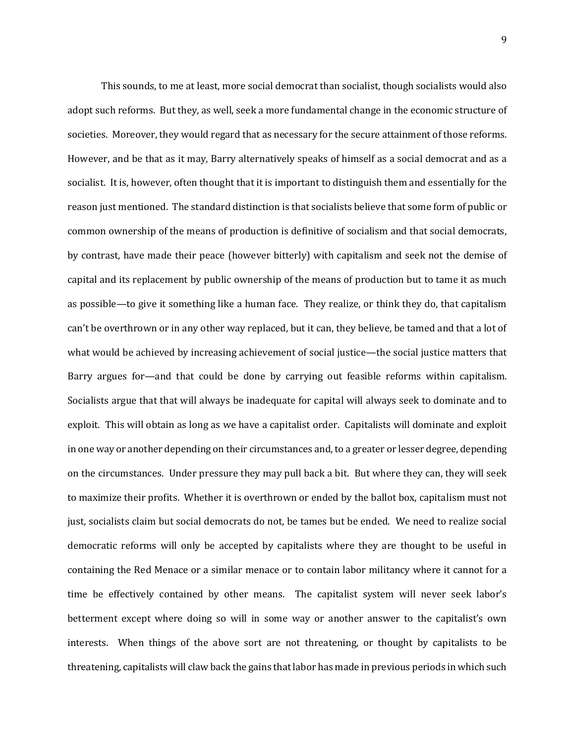This sounds, to me at least, more social democrat than socialist, though socialists would also adopt such reforms. But they, as well, seek a more fundamental change in the economic structure of societies. Moreover, they would regard that as necessary for the secure attainment of those reforms. However, and be that as it may, Barry alternatively speaks of himself as a social democrat and as a socialist. It is, however, often thought that it is important to distinguish them and essentially for the reason just mentioned. The standard distinction is that socialists believe that some form of public or common ownership of the means of production is definitive of socialism and that social democrats, by contrast, have made their peace (however bitterly) with capitalism and seek not the demise of capital and its replacement by public ownership of the means of production but to tame it as much as possible—to give it something like a human face. They realize, or think they do, that capitalism can't be overthrown or in any other way replaced, but it can, they believe, be tamed and that a lot of what would be achieved by increasing achievement of social justice—the social justice matters that Barry argues for—and that could be done by carrying out feasible reforms within capitalism. Socialists argue that that will always be inadequate for capital will always seek to dominate and to exploit. This will obtain as long as we have a capitalist order. Capitalists will dominate and exploit in one way or another depending on their circumstances and, to a greater or lesser degree, depending on the circumstances. Under pressure they may pull back a bit. But where they can, they will seek to maximize their profits. Whether it is overthrown or ended by the ballot box, capitalism must not just, socialists claim but social democrats do not, be tames but be ended. We need to realize social democratic reforms will only be accepted by capitalists where they are thought to be useful in containing the Red Menace or a similar menace or to contain labor militancy where it cannot for a time be effectively contained by other means. The capitalist system will never seek labor's betterment except where doing so will in some way or another answer to the capitalist's own interests. When things of the above sort are not threatening, or thought by capitalists to be threatening, capitalists will claw back the gains that labor has made in previous periods in which such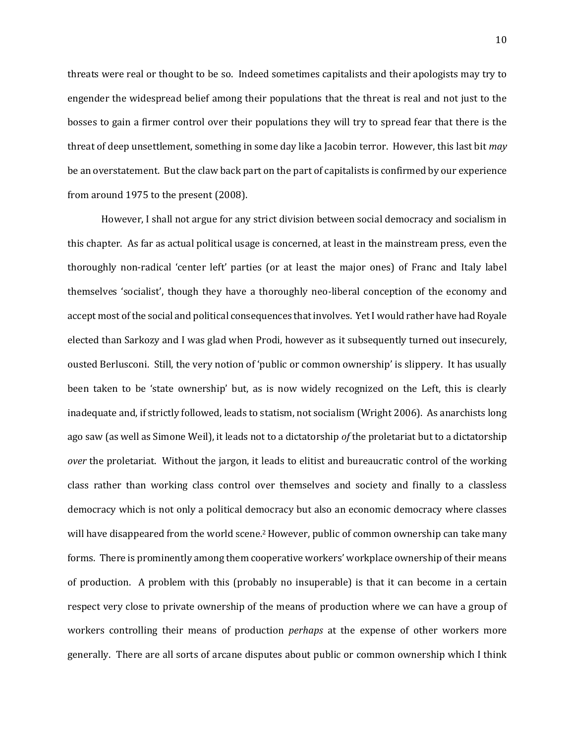threats were real or thought to be so. Indeed sometimes capitalists and their apologists may try to engender the widespread belief among their populations that the threat is real and not just to the bosses to gain a firmer control over their populations they will try to spread fear that there is the threat of deep unsettlement, something in some day like a Jacobin terror. However, this last bit *may*  be an overstatement. But the claw back part on the part of capitalists is confirmed by our experience from around 1975 to the present (2008).

However, I shall not argue for any strict division between social democracy and socialism in this chapter. As far as actual political usage is concerned, at least in the mainstream press, even the thoroughly non-radical 'center left' parties (or at least the major ones) of Franc and Italy label themselves 'socialist', though they have a thoroughly neo-liberal conception of the economy and accept most of the social and political consequences that involves. Yet I would rather have had Royale elected than Sarkozy and I was glad when Prodi, however as it subsequently turned out insecurely, ousted Berlusconi. Still, the very notion of 'public or common ownership' is slippery. It has usually been taken to be 'state ownership' but, as is now widely recognized on the Left, this is clearly inadequate and, if strictly followed, leads to statism, not socialism (Wright 2006). As anarchists long ago saw (as well as Simone Weil), it leads not to a dictatorship *of* the proletariat but to a dictatorship *over* the proletariat. Without the jargon, it leads to elitist and bureaucratic control of the working class rather than working class control over themselves and society and finally to a classless democracy which is not only a political democracy but also an economic democracy where classes will have disappeared from the world scene.<sup>2</sup> However, public of common ownership can take many forms. There is prominently among them cooperative workers' workplace ownership of their means of production. A problem with this (probably no insuperable) is that it can become in a certain respect very close to private ownership of the means of production where we can have a group of workers controlling their means of production *perhaps* at the expense of other workers more generally. There are all sorts of arcane disputes about public or common ownership which I think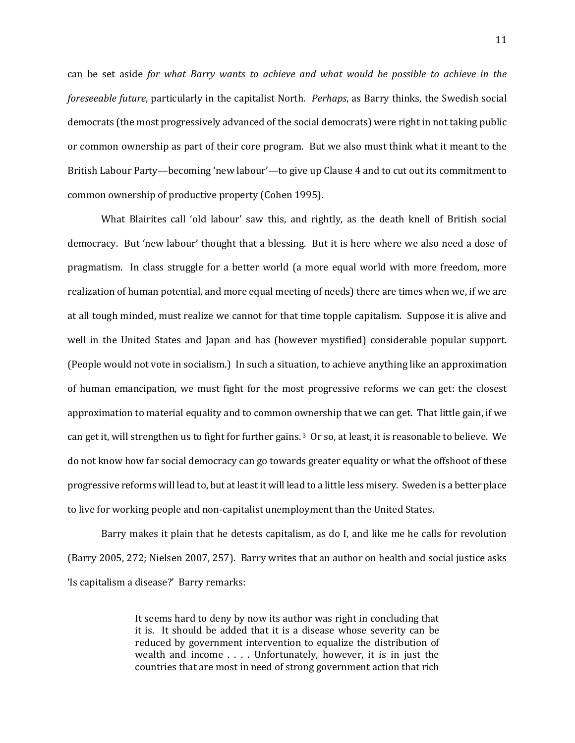can be set aside *for what Barry wants to achieve and what would be possible to achieve in the foreseeable future*, particularly in the capitalist North. *Perhaps*, as Barry thinks, the Swedish social democrats (the most progressively advanced of the social democrats) were right in not taking public or common ownership as part of their core program. But we also must think what it meant to the British Labour Party—becoming 'new labour'—to give up Clause 4 and to cut out its commitment to common ownership of productive property (Cohen 1995).

What Blairites call 'old labour' saw this, and rightly, as the death knell of British social democracy. But 'new labour' thought that a blessing. But it is here where we also need a dose of pragmatism. In class struggle for a better world (a more equal world with more freedom, more realization of human potential, and more equal meeting of needs) there are times when we, if we are at all tough minded, must realize we cannot for that time topple capitalism. Suppose it is alive and well in the United States and Japan and has (however mystified) considerable popular support. (People would not vote in socialism.) In such a situation, to achieve anything like an approximation of human emancipation, we must fight for the most progressive reforms we can get: the closest approximation to material equality and to common ownership that we can get. That little gain, if we can get it, will strengthen us to fight for further gains. <sup>3</sup> Or so, at least, it is reasonable to believe. We do not know how far social democracy can go towards greater equality or what the offshoot of these progressive reforms will lead to, but at least it will lead to a little less misery. Sweden is a better place to live for working people and non-capitalist unemployment than the United States.

Barry makes it plain that he detests capitalism, as do I, and like me he calls for revolution (Barry 2005, 272; Nielsen 2007, 257). Barry writes that an author on health and social justice asks 'Is capitalism a disease?' Barry remarks:

> It seems hard to deny by now its author was right in concluding that it is. It should be added that it is a disease whose severity can be reduced by government intervention to equalize the distribution of wealth and income . . . . Unfortunately, however, it is in just the countries that are most in need of strong government action that rich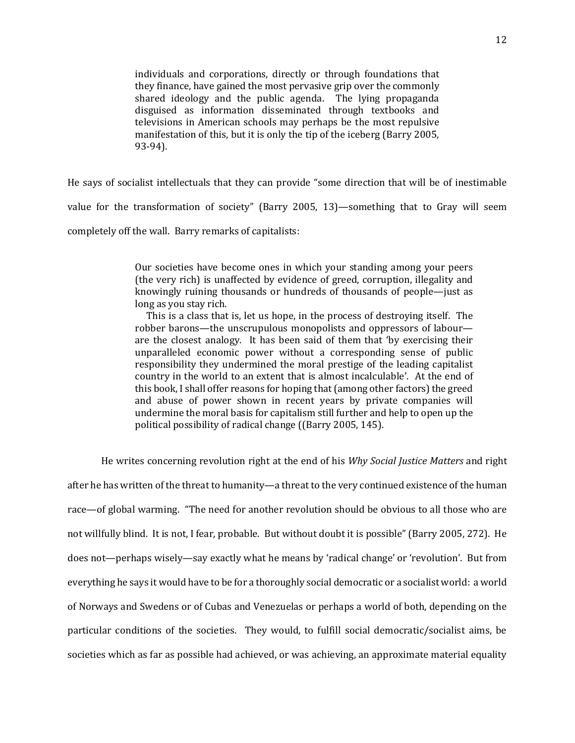individuals and corporations, directly or through foundations that they finance, have gained the most pervasive grip over the commonly shared ideology and the public agenda. The lying propaganda disguised as information disseminated through textbooks and televisions in American schools may perhaps be the most repulsive manifestation of this, but it is only the tip of the iceberg (Barry 2005, 93-94).

He says of socialist intellectuals that they can provide "some direction that will be of inestimable value for the transformation of society" (Barry 2005, 13)—something that to Gray will seem completely off the wall. Barry remarks of capitalists:

> Our societies have become ones in which your standing among your peers (the very rich) is unaffected by evidence of greed, corruption, illegality and knowingly ruining thousands or hundreds of thousands of people—just as long as you stay rich.

> This is a class that is, let us hope, in the process of destroying itself. The robber barons—the unscrupulous monopolists and oppressors of labour are the closest analogy. It has been said of them that 'by exercising their unparalleled economic power without a corresponding sense of public responsibility they undermined the moral prestige of the leading capitalist country in the world to an extent that is almost incalculable'. At the end of this book, I shall offer reasons for hoping that (among other factors) the greed and abuse of power shown in recent years by private companies will undermine the moral basis for capitalism still further and help to open up the political possibility of radical change ((Barry 2005, 145).

He writes concerning revolution right at the end of his *Why Social Justice Matters* and right

after he has written of the threat to humanity—a threat to the very continued existence of the human race—of global warming. "The need for another revolution should be obvious to all those who are not willfully blind. It is not, I fear, probable. But without doubt it is possible" (Barry 2005, 272). He does not—perhaps wisely—say exactly what he means by 'radical change' or 'revolution'. But from everything he says it would have to be for a thoroughly social democratic or a socialist world: a world of Norways and Swedens or of Cubas and Venezuelas or perhaps a world of both, depending on the particular conditions of the societies. They would, to fulfill social democratic/socialist aims, be societies which as far as possible had achieved, or was achieving, an approximate material equality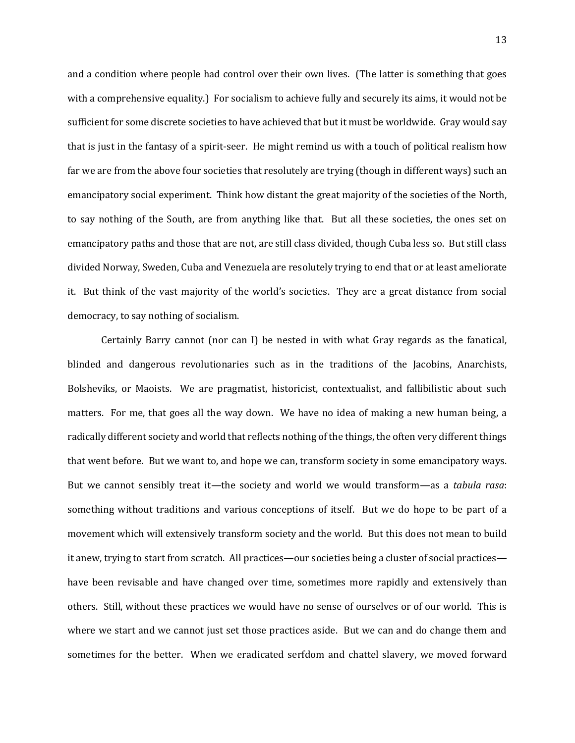and a condition where people had control over their own lives. (The latter is something that goes with a comprehensive equality.) For socialism to achieve fully and securely its aims, it would not be sufficient for some discrete societies to have achieved that but it must be worldwide. Gray would say that is just in the fantasy of a spirit-seer. He might remind us with a touch of political realism how far we are from the above four societies that resolutely are trying (though in different ways) such an emancipatory social experiment. Think how distant the great majority of the societies of the North, to say nothing of the South, are from anything like that. But all these societies, the ones set on emancipatory paths and those that are not, are still class divided, though Cuba less so. But still class divided Norway, Sweden, Cuba and Venezuela are resolutely trying to end that or at least ameliorate it. But think of the vast majority of the world's societies. They are a great distance from social democracy, to say nothing of socialism.

Certainly Barry cannot (nor can I) be nested in with what Gray regards as the fanatical, blinded and dangerous revolutionaries such as in the traditions of the Jacobins, Anarchists, Bolsheviks, or Maoists. We are pragmatist, historicist, contextualist, and fallibilistic about such matters. For me, that goes all the way down. We have no idea of making a new human being, a radically different society and world that reflects nothing of the things, the often very different things that went before. But we want to, and hope we can, transform society in some emancipatory ways. But we cannot sensibly treat it—the society and world we would transform—as a *tabula rasa*: something without traditions and various conceptions of itself. But we do hope to be part of a movement which will extensively transform society and the world. But this does not mean to build it anew, trying to start from scratch. All practices—our societies being a cluster of social practices have been revisable and have changed over time, sometimes more rapidly and extensively than others. Still, without these practices we would have no sense of ourselves or of our world. This is where we start and we cannot just set those practices aside. But we can and do change them and sometimes for the better. When we eradicated serfdom and chattel slavery, we moved forward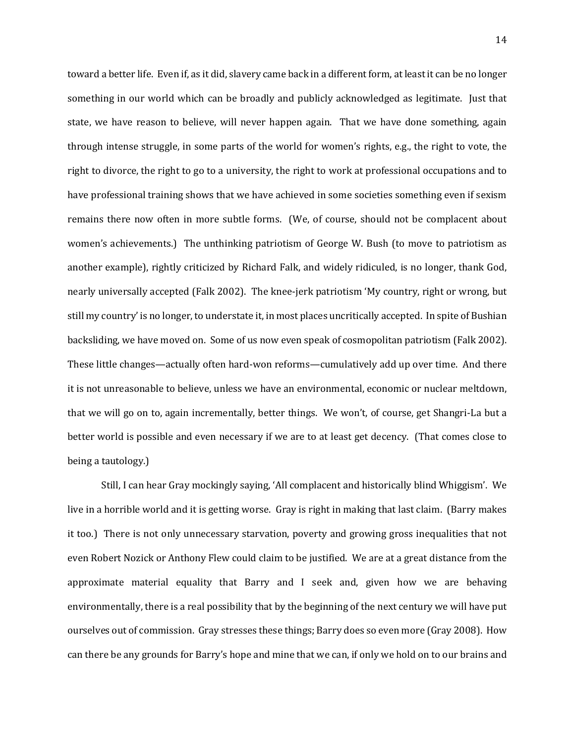toward a better life. Even if, as it did, slavery came back in a different form, at least it can be no longer something in our world which can be broadly and publicly acknowledged as legitimate. Just that state, we have reason to believe, will never happen again. That we have done something, again through intense struggle, in some parts of the world for women's rights, e.g., the right to vote, the right to divorce, the right to go to a university, the right to work at professional occupations and to have professional training shows that we have achieved in some societies something even if sexism remains there now often in more subtle forms. (We, of course, should not be complacent about women's achievements.) The unthinking patriotism of George W. Bush (to move to patriotism as another example), rightly criticized by Richard Falk, and widely ridiculed, is no longer, thank God, nearly universally accepted (Falk 2002). The knee-jerk patriotism 'My country, right or wrong, but still my country' is no longer, to understate it, in most places uncritically accepted. In spite of Bushian backsliding, we have moved on. Some of us now even speak of cosmopolitan patriotism (Falk 2002). These little changes—actually often hard-won reforms—cumulatively add up over time. And there it is not unreasonable to believe, unless we have an environmental, economic or nuclear meltdown, that we will go on to, again incrementally, better things. We won't, of course, get Shangri-La but a better world is possible and even necessary if we are to at least get decency. (That comes close to being a tautology.)

Still, I can hear Gray mockingly saying, 'All complacent and historically blind Whiggism'. We live in a horrible world and it is getting worse. Gray is right in making that last claim. (Barry makes it too.) There is not only unnecessary starvation, poverty and growing gross inequalities that not even Robert Nozick or Anthony Flew could claim to be justified. We are at a great distance from the approximate material equality that Barry and I seek and, given how we are behaving environmentally, there is a real possibility that by the beginning of the next century we will have put ourselves out of commission. Gray stresses these things; Barry does so even more (Gray 2008). How can there be any grounds for Barry's hope and mine that we can, if only we hold on to our brains and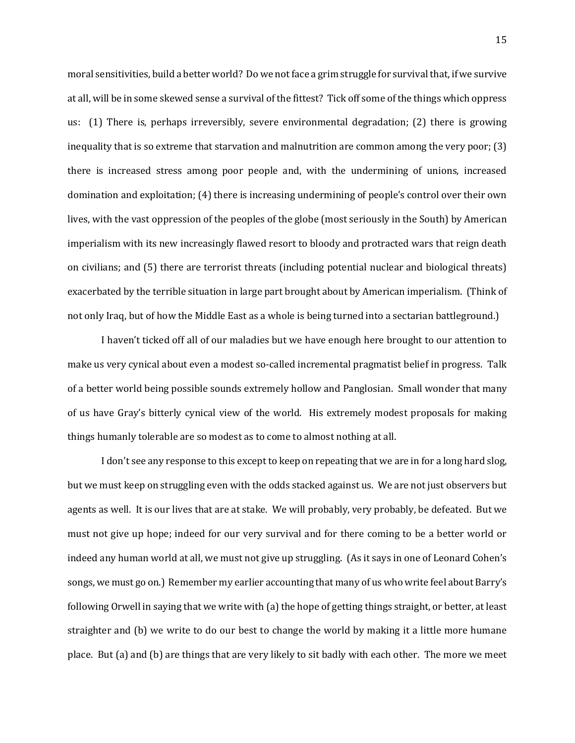moral sensitivities, build a better world? Do we not face a grim struggle for survival that, if we survive at all, will be in some skewed sense a survival of the fittest? Tick off some of the things which oppress us: (1) There is, perhaps irreversibly, severe environmental degradation; (2) there is growing inequality that is so extreme that starvation and malnutrition are common among the very poor; (3) there is increased stress among poor people and, with the undermining of unions, increased domination and exploitation; (4) there is increasing undermining of people's control over their own lives, with the vast oppression of the peoples of the globe (most seriously in the South) by American imperialism with its new increasingly flawed resort to bloody and protracted wars that reign death on civilians; and (5) there are terrorist threats (including potential nuclear and biological threats) exacerbated by the terrible situation in large part brought about by American imperialism. (Think of not only Iraq, but of how the Middle East as a whole is being turned into a sectarian battleground.)

I haven't ticked off all of our maladies but we have enough here brought to our attention to make us very cynical about even a modest so-called incremental pragmatist belief in progress. Talk of a better world being possible sounds extremely hollow and Panglosian. Small wonder that many of us have Gray's bitterly cynical view of the world. His extremely modest proposals for making things humanly tolerable are so modest as to come to almost nothing at all.

I don't see any response to this except to keep on repeating that we are in for a long hard slog, but we must keep on struggling even with the odds stacked against us. We are not just observers but agents as well. It is our lives that are at stake. We will probably, very probably, be defeated. But we must not give up hope; indeed for our very survival and for there coming to be a better world or indeed any human world at all, we must not give up struggling. (As it says in one of Leonard Cohen's songs, we must go on.) Remember my earlier accounting that many of us who write feel about Barry's following Orwell in saying that we write with (a) the hope of getting things straight, or better, at least straighter and (b) we write to do our best to change the world by making it a little more humane place. But (a) and (b) are things that are very likely to sit badly with each other. The more we meet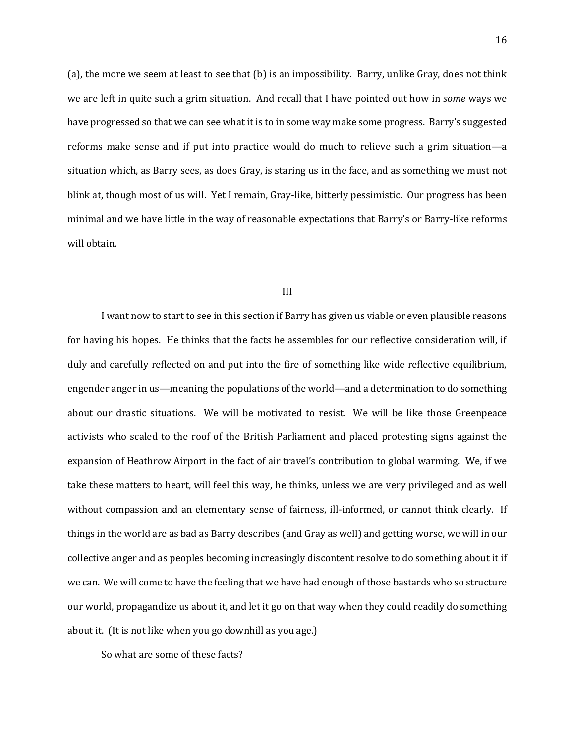(a), the more we seem at least to see that (b) is an impossibility. Barry, unlike Gray, does not think we are left in quite such a grim situation. And recall that I have pointed out how in *some* ways we have progressed so that we can see what it is to in some way make some progress. Barry's suggested reforms make sense and if put into practice would do much to relieve such a grim situation—a situation which, as Barry sees, as does Gray, is staring us in the face, and as something we must not blink at, though most of us will. Yet I remain, Gray-like, bitterly pessimistic. Our progress has been minimal and we have little in the way of reasonable expectations that Barry's or Barry-like reforms will obtain.

#### III

I want now to start to see in this section if Barry has given us viable or even plausible reasons for having his hopes. He thinks that the facts he assembles for our reflective consideration will, if duly and carefully reflected on and put into the fire of something like wide reflective equilibrium, engender anger in us—meaning the populations of the world—and a determination to do something about our drastic situations. We will be motivated to resist. We will be like those Greenpeace activists who scaled to the roof of the British Parliament and placed protesting signs against the expansion of Heathrow Airport in the fact of air travel's contribution to global warming. We, if we take these matters to heart, will feel this way, he thinks, unless we are very privileged and as well without compassion and an elementary sense of fairness, ill-informed, or cannot think clearly. If things in the world are as bad as Barry describes (and Gray as well) and getting worse, we will in our collective anger and as peoples becoming increasingly discontent resolve to do something about it if we can. We will come to have the feeling that we have had enough of those bastards who so structure our world, propagandize us about it, and let it go on that way when they could readily do something about it. (It is not like when you go downhill as you age.)

So what are some of these facts?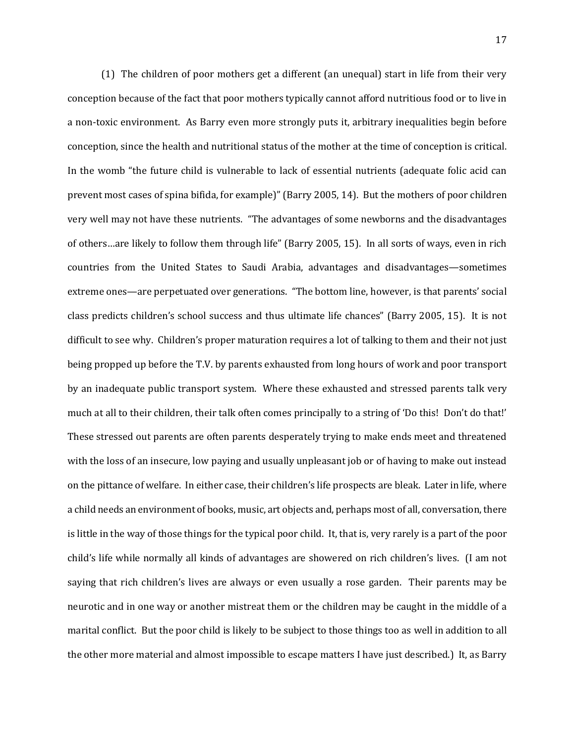(1) The children of poor mothers get a different (an unequal) start in life from their very conception because of the fact that poor mothers typically cannot afford nutritious food or to live in a non-toxic environment. As Barry even more strongly puts it, arbitrary inequalities begin before conception, since the health and nutritional status of the mother at the time of conception is critical. In the womb "the future child is vulnerable to lack of essential nutrients (adequate folic acid can prevent most cases of spina bifida, for example)" (Barry 2005, 14). But the mothers of poor children very well may not have these nutrients. "The advantages of some newborns and the disadvantages of others…are likely to follow them through life" (Barry 2005, 15). In all sorts of ways, even in rich countries from the United States to Saudi Arabia, advantages and disadvantages—sometimes extreme ones—are perpetuated over generations. "The bottom line, however, is that parents' social class predicts children's school success and thus ultimate life chances" (Barry 2005, 15). It is not difficult to see why. Children's proper maturation requires a lot of talking to them and their not just being propped up before the T.V. by parents exhausted from long hours of work and poor transport by an inadequate public transport system. Where these exhausted and stressed parents talk very much at all to their children, their talk often comes principally to a string of 'Do this! Don't do that!' These stressed out parents are often parents desperately trying to make ends meet and threatened with the loss of an insecure, low paying and usually unpleasant job or of having to make out instead on the pittance of welfare. In either case, their children's life prospects are bleak. Later in life, where a child needs an environment of books, music, art objects and, perhaps most of all, conversation, there is little in the way of those things for the typical poor child. It, that is, very rarely is a part of the poor child's life while normally all kinds of advantages are showered on rich children's lives. (I am not saying that rich children's lives are always or even usually a rose garden. Their parents may be neurotic and in one way or another mistreat them or the children may be caught in the middle of a marital conflict. But the poor child is likely to be subject to those things too as well in addition to all the other more material and almost impossible to escape matters I have just described.) It, as Barry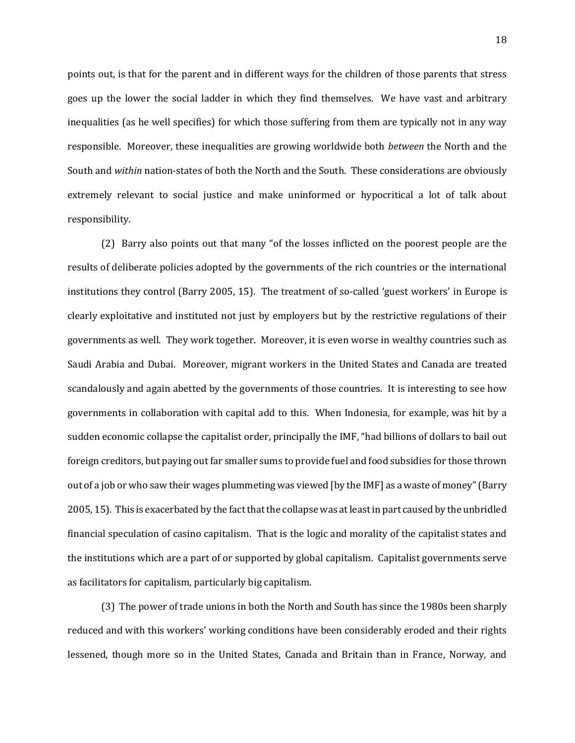points out, is that for the parent and in different ways for the children of those parents that stress goes up the lower the social ladder in which they find themselves. We have vast and arbitrary inequalities (as he well specifies) for which those suffering from them are typically not in any way responsible. Moreover, these inequalities are growing worldwide both *between* the North and the South and *within* nation-states of both the North and the South. These considerations are obviously extremely relevant to social justice and make uninformed or hypocritical a lot of talk about responsibility.

(2) Barry also points out that many "of the losses inflicted on the poorest people are the results of deliberate policies adopted by the governments of the rich countries or the international institutions they control (Barry 2005, 15). The treatment of so-called 'guest workers' in Europe is clearly exploitative and instituted not just by employers but by the restrictive regulations of their governments as well. They work together. Moreover, it is even worse in wealthy countries such as Saudi Arabia and Dubai. Moreover, migrant workers in the United States and Canada are treated scandalously and again abetted by the governments of those countries. It is interesting to see how governments in collaboration with capital add to this. When Indonesia, for example, was hit by a sudden economic collapse the capitalist order, principally the IMF, "had billions of dollars to bail out foreign creditors, but paying out far smaller sums to provide fuel and food subsidies for those thrown out of a job or who saw their wages plummeting was viewed [by the IMF] as a waste of money" (Barry 2005, 15). This is exacerbated by the fact that the collapse was at least in part caused by the unbridled financial speculation of casino capitalism. That is the logic and morality of the capitalist states and the institutions which are a part of or supported by global capitalism. Capitalist governments serve as facilitators for capitalism, particularly big capitalism.

(3) The power of trade unions in both the North and South has since the 1980s been sharply reduced and with this workers' working conditions have been considerably eroded and their rights lessened, though more so in the United States, Canada and Britain than in France, Norway, and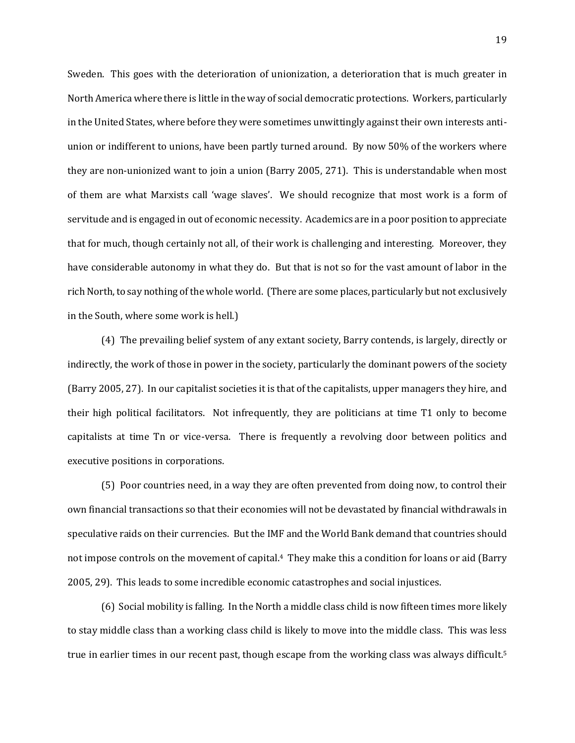Sweden. This goes with the deterioration of unionization, a deterioration that is much greater in North America where there is little in the way of social democratic protections. Workers, particularly in the United States, where before they were sometimes unwittingly against their own interests antiunion or indifferent to unions, have been partly turned around. By now 50% of the workers where they are non-unionized want to join a union (Barry 2005, 271). This is understandable when most of them are what Marxists call 'wage slaves'. We should recognize that most work is a form of servitude and is engaged in out of economic necessity. Academics are in a poor position to appreciate that for much, though certainly not all, of their work is challenging and interesting. Moreover, they have considerable autonomy in what they do. But that is not so for the vast amount of labor in the rich North, to say nothing of the whole world. (There are some places, particularly but not exclusively in the South, where some work is hell.)

(4) The prevailing belief system of any extant society, Barry contends, is largely, directly or indirectly, the work of those in power in the society, particularly the dominant powers of the society (Barry 2005, 27). In our capitalist societies it is that of the capitalists, upper managers they hire, and their high political facilitators. Not infrequently, they are politicians at time T1 only to become capitalists at time Tn or vice-versa. There is frequently a revolving door between politics and executive positions in corporations.

(5) Poor countries need, in a way they are often prevented from doing now, to control their own financial transactions so that their economies will not be devastated by financial withdrawals in speculative raids on their currencies. But the IMF and the World Bank demand that countries should not impose controls on the movement of capital.4 They make this a condition for loans or aid (Barry 2005, 29). This leads to some incredible economic catastrophes and social injustices.

(6) Social mobility is falling. In the North a middle class child is now fifteen times more likely to stay middle class than a working class child is likely to move into the middle class. This was less true in earlier times in our recent past, though escape from the working class was always difficult.<sup>5</sup>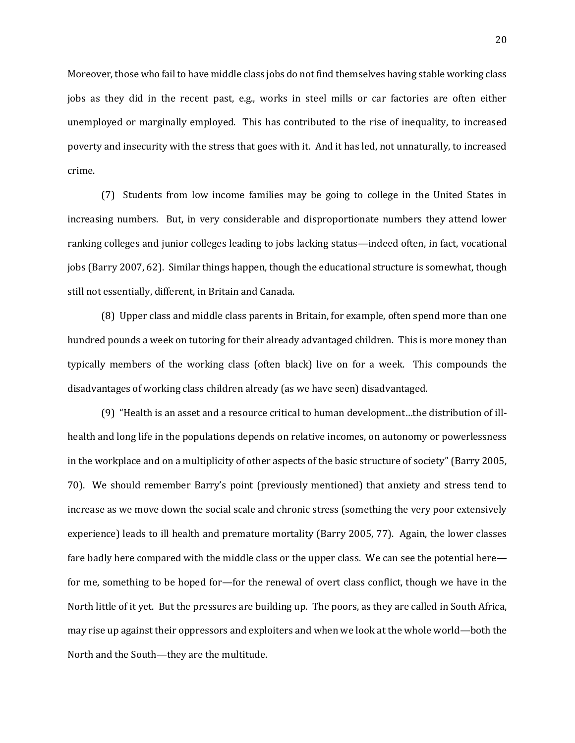Moreover, those who fail to have middle class jobs do not find themselves having stable working class jobs as they did in the recent past, e.g., works in steel mills or car factories are often either unemployed or marginally employed. This has contributed to the rise of inequality, to increased poverty and insecurity with the stress that goes with it. And it has led, not unnaturally, to increased crime.

(7) Students from low income families may be going to college in the United States in increasing numbers. But, in very considerable and disproportionate numbers they attend lower ranking colleges and junior colleges leading to jobs lacking status—indeed often, in fact, vocational jobs (Barry 2007, 62). Similar things happen, though the educational structure is somewhat, though still not essentially, different, in Britain and Canada.

(8) Upper class and middle class parents in Britain, for example, often spend more than one hundred pounds a week on tutoring for their already advantaged children. This is more money than typically members of the working class (often black) live on for a week. This compounds the disadvantages of working class children already (as we have seen) disadvantaged.

(9) "Health is an asset and a resource critical to human development…the distribution of illhealth and long life in the populations depends on relative incomes, on autonomy or powerlessness in the workplace and on a multiplicity of other aspects of the basic structure of society" (Barry 2005, 70). We should remember Barry's point (previously mentioned) that anxiety and stress tend to increase as we move down the social scale and chronic stress (something the very poor extensively experience) leads to ill health and premature mortality (Barry 2005, 77). Again, the lower classes fare badly here compared with the middle class or the upper class. We can see the potential here for me, something to be hoped for—for the renewal of overt class conflict, though we have in the North little of it yet. But the pressures are building up. The poors, as they are called in South Africa, may rise up against their oppressors and exploiters and when we look at the whole world—both the North and the South—they are the multitude.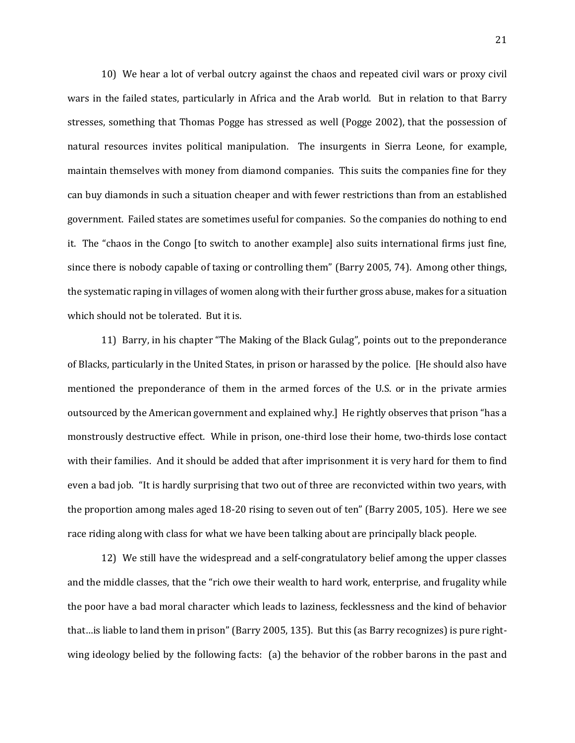10) We hear a lot of verbal outcry against the chaos and repeated civil wars or proxy civil wars in the failed states, particularly in Africa and the Arab world. But in relation to that Barry stresses, something that Thomas Pogge has stressed as well (Pogge 2002), that the possession of natural resources invites political manipulation. The insurgents in Sierra Leone, for example, maintain themselves with money from diamond companies. This suits the companies fine for they can buy diamonds in such a situation cheaper and with fewer restrictions than from an established government. Failed states are sometimes useful for companies. So the companies do nothing to end it. The "chaos in the Congo [to switch to another example] also suits international firms just fine, since there is nobody capable of taxing or controlling them" (Barry 2005, 74). Among other things, the systematic raping in villages of women along with their further gross abuse, makes for a situation which should not be tolerated. But it is.

11) Barry, in his chapter "The Making of the Black Gulag", points out to the preponderance of Blacks, particularly in the United States, in prison or harassed by the police. [He should also have mentioned the preponderance of them in the armed forces of the U.S. or in the private armies outsourced by the American government and explained why.] He rightly observes that prison "has a monstrously destructive effect. While in prison, one-third lose their home, two-thirds lose contact with their families. And it should be added that after imprisonment it is very hard for them to find even a bad job. "It is hardly surprising that two out of three are reconvicted within two years, with the proportion among males aged 18-20 rising to seven out of ten" (Barry 2005, 105). Here we see race riding along with class for what we have been talking about are principally black people.

12) We still have the widespread and a self-congratulatory belief among the upper classes and the middle classes, that the "rich owe their wealth to hard work, enterprise, and frugality while the poor have a bad moral character which leads to laziness, fecklessness and the kind of behavior that…is liable to land them in prison" (Barry 2005, 135). But this (as Barry recognizes) is pure rightwing ideology belied by the following facts: (a) the behavior of the robber barons in the past and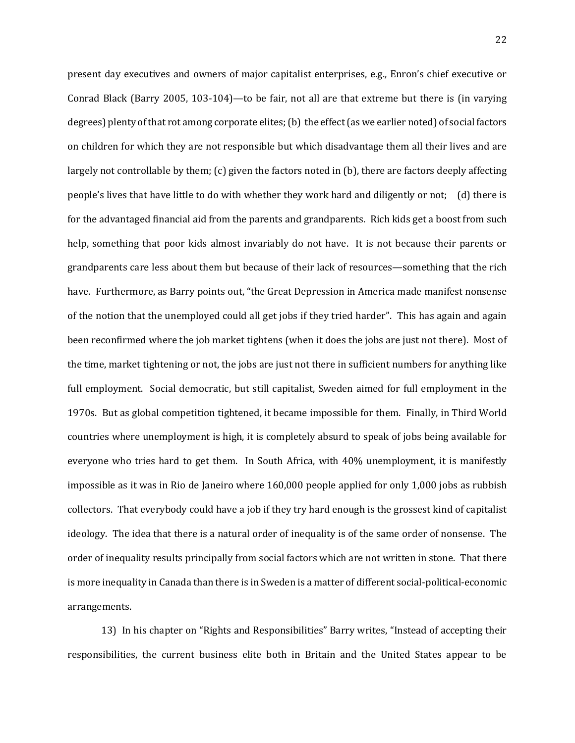present day executives and owners of major capitalist enterprises, e.g., Enron's chief executive or Conrad Black (Barry 2005, 103-104)—to be fair, not all are that extreme but there is (in varying degrees) plenty of that rot among corporate elites; (b) the effect (as we earlier noted) of social factors on children for which they are not responsible but which disadvantage them all their lives and are largely not controllable by them; (c) given the factors noted in (b), there are factors deeply affecting people's lives that have little to do with whether they work hard and diligently or not; (d) there is for the advantaged financial aid from the parents and grandparents. Rich kids get a boost from such help, something that poor kids almost invariably do not have. It is not because their parents or grandparents care less about them but because of their lack of resources—something that the rich have. Furthermore, as Barry points out, "the Great Depression in America made manifest nonsense of the notion that the unemployed could all get jobs if they tried harder". This has again and again been reconfirmed where the job market tightens (when it does the jobs are just not there). Most of the time, market tightening or not, the jobs are just not there in sufficient numbers for anything like full employment. Social democratic, but still capitalist, Sweden aimed for full employment in the 1970s. But as global competition tightened, it became impossible for them. Finally, in Third World countries where unemployment is high, it is completely absurd to speak of jobs being available for everyone who tries hard to get them. In South Africa, with 40% unemployment, it is manifestly impossible as it was in Rio de Janeiro where 160,000 people applied for only 1,000 jobs as rubbish collectors. That everybody could have a job if they try hard enough is the grossest kind of capitalist ideology. The idea that there is a natural order of inequality is of the same order of nonsense. The order of inequality results principally from social factors which are not written in stone. That there is more inequality in Canada than there is in Sweden is a matter of different social-political-economic arrangements.

13) In his chapter on "Rights and Responsibilities" Barry writes, "Instead of accepting their responsibilities, the current business elite both in Britain and the United States appear to be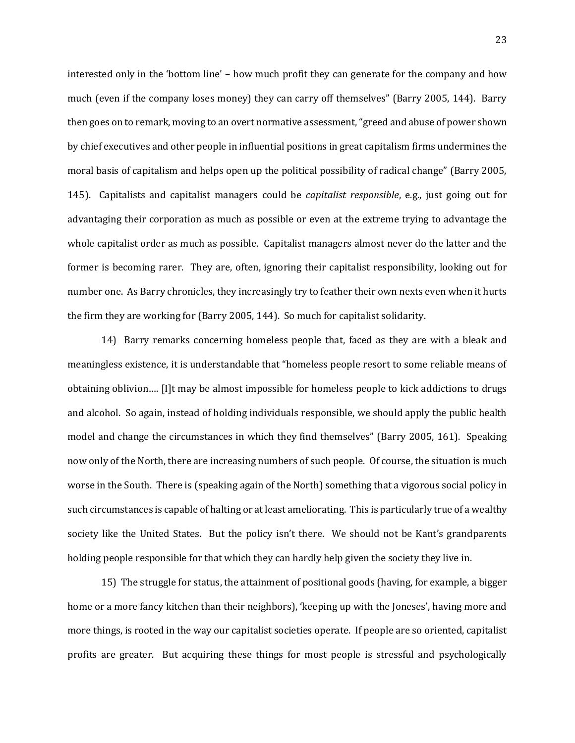interested only in the 'bottom line' – how much profit they can generate for the company and how much (even if the company loses money) they can carry off themselves" (Barry 2005, 144). Barry then goes on to remark, moving to an overt normative assessment, "greed and abuse of power shown by chief executives and other people in influential positions in great capitalism firms undermines the moral basis of capitalism and helps open up the political possibility of radical change" (Barry 2005, 145). Capitalists and capitalist managers could be *capitalist responsible*, e.g., just going out for advantaging their corporation as much as possible or even at the extreme trying to advantage the whole capitalist order as much as possible. Capitalist managers almost never do the latter and the former is becoming rarer. They are, often, ignoring their capitalist responsibility, looking out for number one. As Barry chronicles, they increasingly try to feather their own nexts even when it hurts the firm they are working for (Barry 2005, 144). So much for capitalist solidarity.

14) Barry remarks concerning homeless people that, faced as they are with a bleak and meaningless existence, it is understandable that "homeless people resort to some reliable means of obtaining oblivion…. [I]t may be almost impossible for homeless people to kick addictions to drugs and alcohol. So again, instead of holding individuals responsible, we should apply the public health model and change the circumstances in which they find themselves" (Barry 2005, 161). Speaking now only of the North, there are increasing numbers of such people. Of course, the situation is much worse in the South. There is (speaking again of the North) something that a vigorous social policy in such circumstances is capable of halting or at least ameliorating. This is particularly true of a wealthy society like the United States. But the policy isn't there. We should not be Kant's grandparents holding people responsible for that which they can hardly help given the society they live in.

15) The struggle for status, the attainment of positional goods (having, for example, a bigger home or a more fancy kitchen than their neighbors), 'keeping up with the Joneses', having more and more things, is rooted in the way our capitalist societies operate. If people are so oriented, capitalist profits are greater. But acquiring these things for most people is stressful and psychologically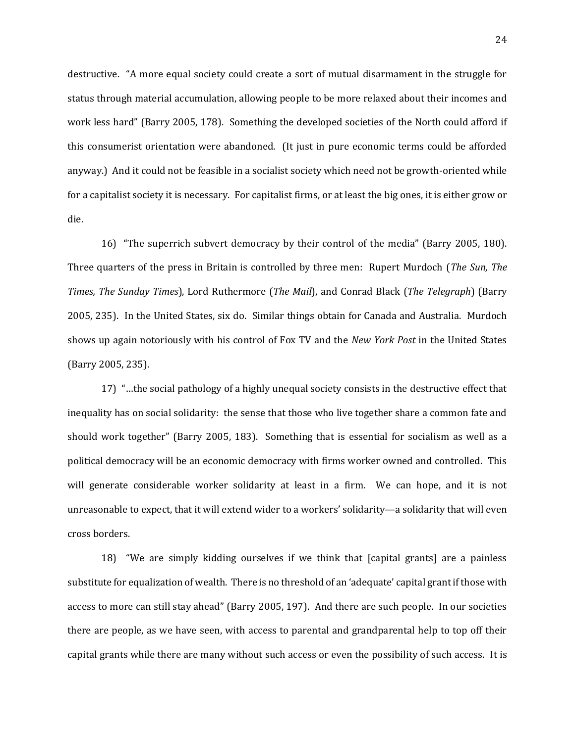destructive. "A more equal society could create a sort of mutual disarmament in the struggle for status through material accumulation, allowing people to be more relaxed about their incomes and work less hard" (Barry 2005, 178). Something the developed societies of the North could afford if this consumerist orientation were abandoned. (It just in pure economic terms could be afforded anyway.) And it could not be feasible in a socialist society which need not be growth-oriented while for a capitalist society it is necessary. For capitalist firms, or at least the big ones, it is either grow or die.

16) "The superrich subvert democracy by their control of the media" (Barry 2005, 180). Three quarters of the press in Britain is controlled by three men: Rupert Murdoch (*The Sun, The Times, The Sunday Times*), Lord Ruthermore (*The Mail*), and Conrad Black (*The Telegraph*) (Barry 2005, 235). In the United States, six do. Similar things obtain for Canada and Australia. Murdoch shows up again notoriously with his control of Fox TV and the *New York Post* in the United States (Barry 2005, 235).

17) "…the social pathology of a highly unequal society consists in the destructive effect that inequality has on social solidarity: the sense that those who live together share a common fate and should work together" (Barry 2005, 183). Something that is essential for socialism as well as a political democracy will be an economic democracy with firms worker owned and controlled. This will generate considerable worker solidarity at least in a firm. We can hope, and it is not unreasonable to expect, that it will extend wider to a workers' solidarity—a solidarity that will even cross borders.

18) "We are simply kidding ourselves if we think that [capital grants] are a painless substitute for equalization of wealth. There is no threshold of an 'adequate' capital grant if those with access to more can still stay ahead" (Barry 2005, 197). And there are such people. In our societies there are people, as we have seen, with access to parental and grandparental help to top off their capital grants while there are many without such access or even the possibility of such access. It is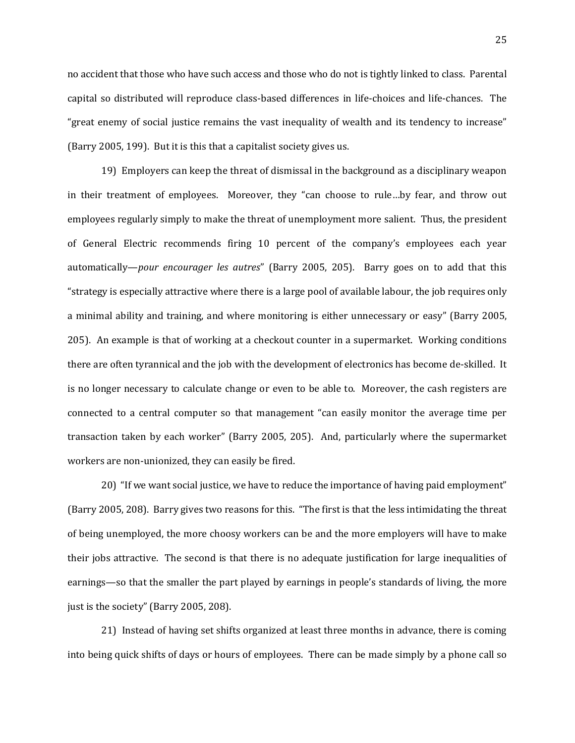no accident that those who have such access and those who do not is tightly linked to class. Parental capital so distributed will reproduce class-based differences in life-choices and life-chances. The "great enemy of social justice remains the vast inequality of wealth and its tendency to increase" (Barry 2005, 199). But it is this that a capitalist society gives us.

19) Employers can keep the threat of dismissal in the background as a disciplinary weapon in their treatment of employees. Moreover, they "can choose to rule…by fear, and throw out employees regularly simply to make the threat of unemployment more salient. Thus, the president of General Electric recommends firing 10 percent of the company's employees each year automatically—*pour encourager les autres*" (Barry 2005, 205). Barry goes on to add that this "strategy is especially attractive where there is a large pool of available labour, the job requires only a minimal ability and training, and where monitoring is either unnecessary or easy" (Barry 2005, 205). An example is that of working at a checkout counter in a supermarket. Working conditions there are often tyrannical and the job with the development of electronics has become de-skilled. It is no longer necessary to calculate change or even to be able to. Moreover, the cash registers are connected to a central computer so that management "can easily monitor the average time per transaction taken by each worker" (Barry 2005, 205). And, particularly where the supermarket workers are non-unionized, they can easily be fired.

20) "If we want social justice, we have to reduce the importance of having paid employment" (Barry 2005, 208). Barry gives two reasons for this. "The first is that the less intimidating the threat of being unemployed, the more choosy workers can be and the more employers will have to make their jobs attractive. The second is that there is no adequate justification for large inequalities of earnings—so that the smaller the part played by earnings in people's standards of living, the more just is the society" (Barry 2005, 208).

21) Instead of having set shifts organized at least three months in advance, there is coming into being quick shifts of days or hours of employees. There can be made simply by a phone call so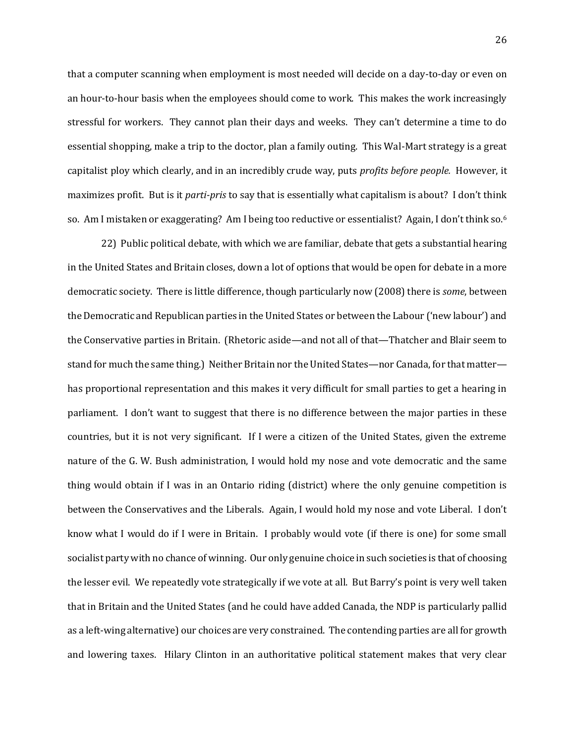that a computer scanning when employment is most needed will decide on a day-to-day or even on an hour-to-hour basis when the employees should come to work. This makes the work increasingly stressful for workers. They cannot plan their days and weeks. They can't determine a time to do essential shopping, make a trip to the doctor, plan a family outing. This Wal-Mart strategy is a great capitalist ploy which clearly, and in an incredibly crude way, puts *profits before people.* However, it maximizes profit. But is it *parti-pris* to say that is essentially what capitalism is about? I don't think so. Am I mistaken or exaggerating? Am I being too reductive or essentialist? Again, I don't think so.<sup>6</sup>

22) Public political debate, with which we are familiar, debate that gets a substantial hearing in the United States and Britain closes, down a lot of options that would be open for debate in a more democratic society. There is little difference, though particularly now (2008) there is *some*, between the Democratic and Republican parties in the United States or between the Labour ('new labour') and the Conservative parties in Britain. (Rhetoric aside—and not all of that—Thatcher and Blair seem to stand for much the same thing.) Neither Britain nor the United States—nor Canada, for that matter has proportional representation and this makes it very difficult for small parties to get a hearing in parliament. I don't want to suggest that there is no difference between the major parties in these countries, but it is not very significant. If I were a citizen of the United States, given the extreme nature of the G. W. Bush administration, I would hold my nose and vote democratic and the same thing would obtain if I was in an Ontario riding (district) where the only genuine competition is between the Conservatives and the Liberals. Again, I would hold my nose and vote Liberal. I don't know what I would do if I were in Britain. I probably would vote (if there is one) for some small socialist party with no chance of winning. Our only genuine choice in such societies is that of choosing the lesser evil. We repeatedly vote strategically if we vote at all. But Barry's point is very well taken that in Britain and the United States (and he could have added Canada, the NDP is particularly pallid as a left-wing alternative) our choices are very constrained. The contending parties are all for growth and lowering taxes. Hilary Clinton in an authoritative political statement makes that very clear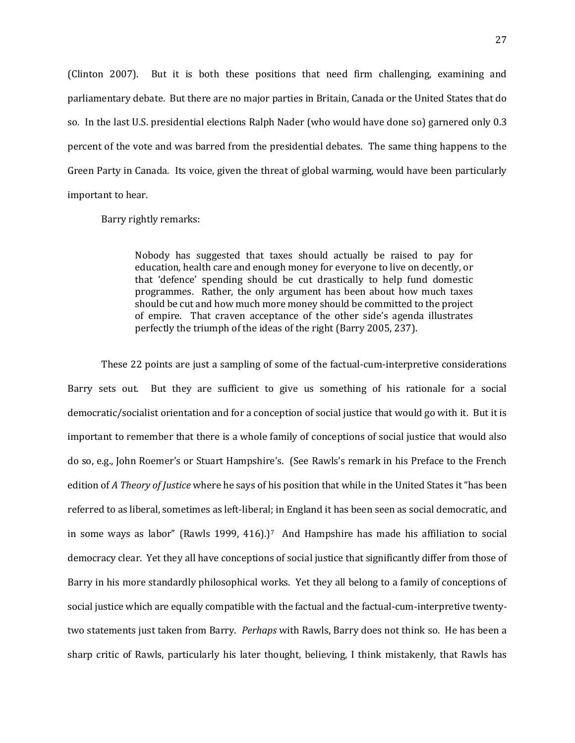(Clinton 2007). But it is both these positions that need firm challenging, examining and parliamentary debate. But there are no major parties in Britain, Canada or the United States that do so. In the last U.S. presidential elections Ralph Nader (who would have done so) garnered only 0.3 percent of the vote and was barred from the presidential debates. The same thing happens to the Green Party in Canada. Its voice, given the threat of global warming, would have been particularly important to hear.

Barry rightly remarks:

Nobody has suggested that taxes should actually be raised to pay for education, health care and enough money for everyone to live on decently, or that 'defence' spending should be cut drastically to help fund domestic programmes. Rather, the only argument has been about how much taxes should be cut and how much more money should be committed to the project of empire. That craven acceptance of the other side's agenda illustrates perfectly the triumph of the ideas of the right (Barry 2005, 237).

These 22 points are just a sampling of some of the factual-cum-interpretive considerations Barry sets out. But they are sufficient to give us something of his rationale for a social democratic/socialist orientation and for a conception of social justice that would go with it. But it is important to remember that there is a whole family of conceptions of social justice that would also do so, e.g., John Roemer's or Stuart Hampshire's. (See Rawls's remark in his Preface to the French edition of *A Theory of Justice* where he says of his position that while in the United States it "has been referred to as liberal, sometimes as left-liberal; in England it has been seen as social democratic, and in some ways as labor" (Rawls 1999, 416).)<sup>7</sup> And Hampshire has made his affiliation to social democracy clear. Yet they all have conceptions of social justice that significantly differ from those of Barry in his more standardly philosophical works. Yet they all belong to a family of conceptions of social justice which are equally compatible with the factual and the factual-cum-interpretive twentytwo statements just taken from Barry. *Perhaps* with Rawls, Barry does not think so. He has been a sharp critic of Rawls, particularly his later thought, believing, I think mistakenly, that Rawls has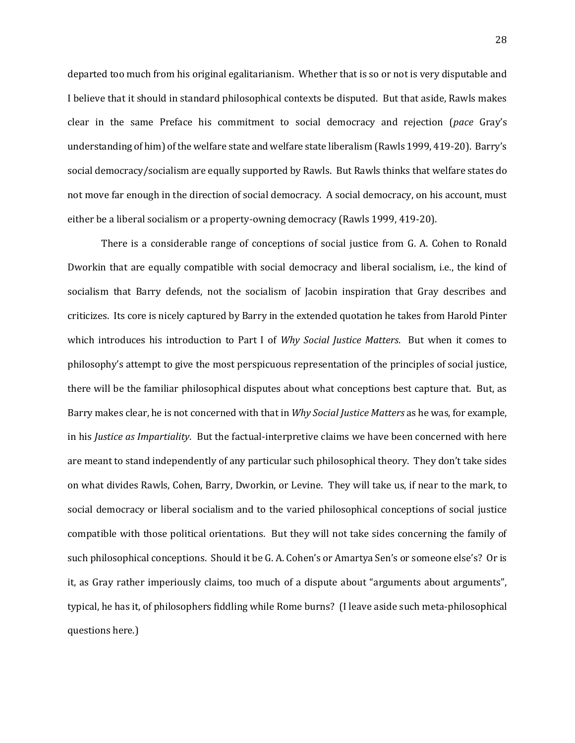departed too much from his original egalitarianism. Whether that is so or not is very disputable and I believe that it should in standard philosophical contexts be disputed. But that aside, Rawls makes clear in the same Preface his commitment to social democracy and rejection (*pace* Gray's understanding of him) of the welfare state and welfare state liberalism (Rawls 1999, 419-20). Barry's social democracy/socialism are equally supported by Rawls. But Rawls thinks that welfare states do not move far enough in the direction of social democracy. A social democracy, on his account, must either be a liberal socialism or a property-owning democracy (Rawls 1999, 419-20).

There is a considerable range of conceptions of social justice from G. A. Cohen to Ronald Dworkin that are equally compatible with social democracy and liberal socialism, i.e., the kind of socialism that Barry defends, not the socialism of Jacobin inspiration that Gray describes and criticizes. Its core is nicely captured by Barry in the extended quotation he takes from Harold Pinter which introduces his introduction to Part I of *Why Social Justice Matters*. But when it comes to philosophy's attempt to give the most perspicuous representation of the principles of social justice, there will be the familiar philosophical disputes about what conceptions best capture that. But, as Barry makes clear, he is not concerned with that in *Why Social Justice Matters* as he was, for example, in his *Justice as Impartiality*. But the factual-interpretive claims we have been concerned with here are meant to stand independently of any particular such philosophical theory. They don't take sides on what divides Rawls, Cohen, Barry, Dworkin, or Levine. They will take us, if near to the mark, to social democracy or liberal socialism and to the varied philosophical conceptions of social justice compatible with those political orientations. But they will not take sides concerning the family of such philosophical conceptions. Should it be G. A. Cohen's or Amartya Sen's or someone else's? Or is it, as Gray rather imperiously claims, too much of a dispute about "arguments about arguments", typical, he has it, of philosophers fiddling while Rome burns? (I leave aside such meta-philosophical questions here.)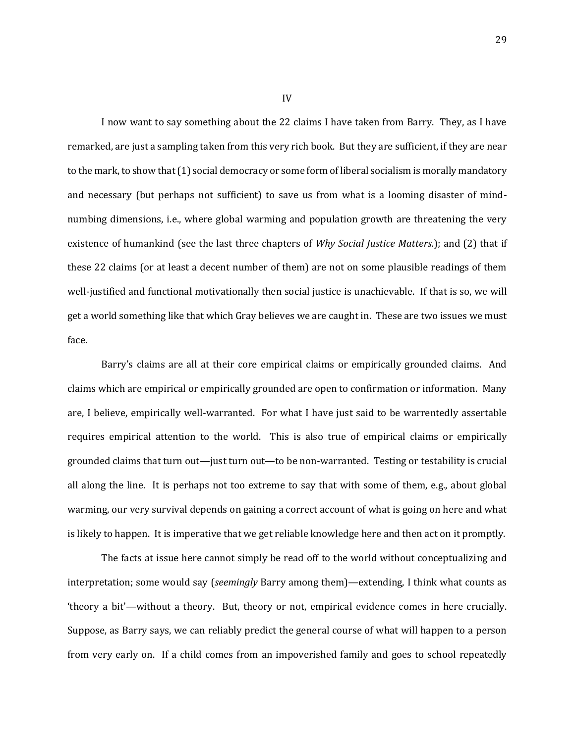I now want to say something about the 22 claims I have taken from Barry. They, as I have remarked, are just a sampling taken from this very rich book. But they are sufficient, if they are near to the mark, to show that (1) social democracy or some form of liberal socialism is morally mandatory and necessary (but perhaps not sufficient) to save us from what is a looming disaster of mindnumbing dimensions, i.e., where global warming and population growth are threatening the very existence of humankind (see the last three chapters of *Why Social Justice Matters.*); and (2) that if these 22 claims (or at least a decent number of them) are not on some plausible readings of them well-justified and functional motivationally then social justice is unachievable. If that is so, we will get a world something like that which Gray believes we are caught in. These are two issues we must face.

Barry's claims are all at their core empirical claims or empirically grounded claims. And claims which are empirical or empirically grounded are open to confirmation or information. Many are, I believe, empirically well-warranted. For what I have just said to be warrentedly assertable requires empirical attention to the world. This is also true of empirical claims or empirically grounded claims that turn out—just turn out—to be non-warranted. Testing or testability is crucial all along the line. It is perhaps not too extreme to say that with some of them, e.g., about global warming, our very survival depends on gaining a correct account of what is going on here and what is likely to happen. It is imperative that we get reliable knowledge here and then act on it promptly.

The facts at issue here cannot simply be read off to the world without conceptualizing and interpretation; some would say (*seemingly* Barry among them)—extending, I think what counts as 'theory a bit'—without a theory. But, theory or not, empirical evidence comes in here crucially. Suppose, as Barry says, we can reliably predict the general course of what will happen to a person from very early on. If a child comes from an impoverished family and goes to school repeatedly

29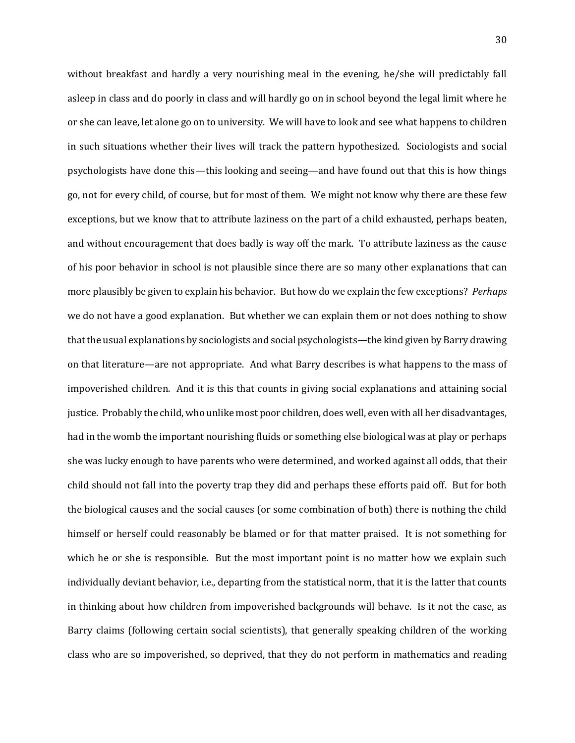without breakfast and hardly a very nourishing meal in the evening, he/she will predictably fall asleep in class and do poorly in class and will hardly go on in school beyond the legal limit where he or she can leave, let alone go on to university. We will have to look and see what happens to children in such situations whether their lives will track the pattern hypothesized. Sociologists and social psychologists have done this—this looking and seeing—and have found out that this is how things go, not for every child, of course, but for most of them. We might not know why there are these few exceptions, but we know that to attribute laziness on the part of a child exhausted, perhaps beaten, and without encouragement that does badly is way off the mark. To attribute laziness as the cause of his poor behavior in school is not plausible since there are so many other explanations that can more plausibly be given to explain his behavior. But how do we explain the few exceptions? *Perhaps*  we do not have a good explanation. But whether we can explain them or not does nothing to show that the usual explanations by sociologists and social psychologists—the kind given by Barry drawing on that literature—are not appropriate. And what Barry describes is what happens to the mass of impoverished children. And it is this that counts in giving social explanations and attaining social justice. Probably the child, who unlike most poor children, does well, even with all her disadvantages, had in the womb the important nourishing fluids or something else biological was at play or perhaps she was lucky enough to have parents who were determined, and worked against all odds, that their child should not fall into the poverty trap they did and perhaps these efforts paid off. But for both the biological causes and the social causes (or some combination of both) there is nothing the child himself or herself could reasonably be blamed or for that matter praised. It is not something for which he or she is responsible. But the most important point is no matter how we explain such individually deviant behavior, i.e., departing from the statistical norm, that it is the latter that counts in thinking about how children from impoverished backgrounds will behave. Is it not the case, as Barry claims (following certain social scientists), that generally speaking children of the working class who are so impoverished, so deprived, that they do not perform in mathematics and reading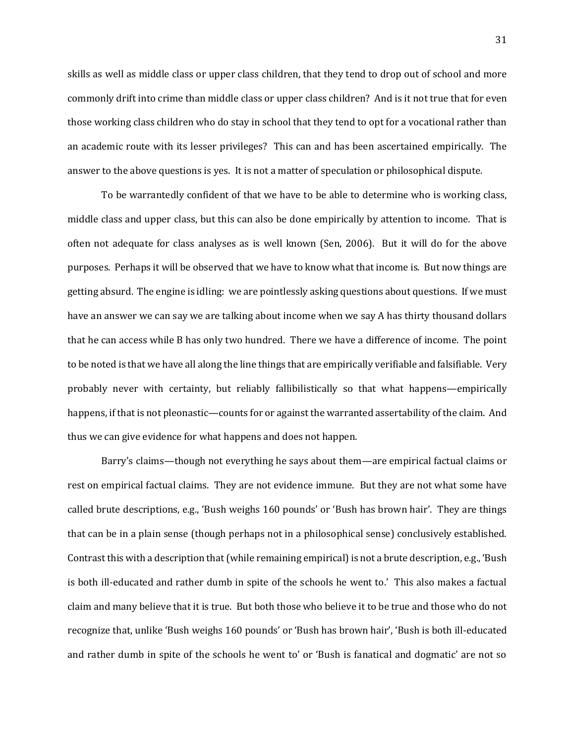skills as well as middle class or upper class children, that they tend to drop out of school and more commonly drift into crime than middle class or upper class children? And is it not true that for even those working class children who do stay in school that they tend to opt for a vocational rather than an academic route with its lesser privileges? This can and has been ascertained empirically. The answer to the above questions is yes. It is not a matter of speculation or philosophical dispute.

To be warrantedly confident of that we have to be able to determine who is working class, middle class and upper class, but this can also be done empirically by attention to income. That is often not adequate for class analyses as is well known (Sen, 2006). But it will do for the above purposes. Perhaps it will be observed that we have to know what that income is. But now things are getting absurd. The engine is idling: we are pointlessly asking questions about questions. If we must have an answer we can say we are talking about income when we say A has thirty thousand dollars that he can access while B has only two hundred. There we have a difference of income. The point to be noted is that we have all along the line things that are empirically verifiable and falsifiable. Very probably never with certainty, but reliably fallibilistically so that what happens—empirically happens, if that is not pleonastic—counts for or against the warranted assertability of the claim. And thus we can give evidence for what happens and does not happen.

Barry's claims—though not everything he says about them—are empirical factual claims or rest on empirical factual claims. They are not evidence immune. But they are not what some have called brute descriptions, e.g., 'Bush weighs 160 pounds' or 'Bush has brown hair'. They are things that can be in a plain sense (though perhaps not in a philosophical sense) conclusively established. Contrast this with a description that (while remaining empirical) is not a brute description, e.g., 'Bush is both ill-educated and rather dumb in spite of the schools he went to.' This also makes a factual claim and many believe that it is true. But both those who believe it to be true and those who do not recognize that, unlike 'Bush weighs 160 pounds' or 'Bush has brown hair', 'Bush is both ill-educated and rather dumb in spite of the schools he went to' or 'Bush is fanatical and dogmatic' are not so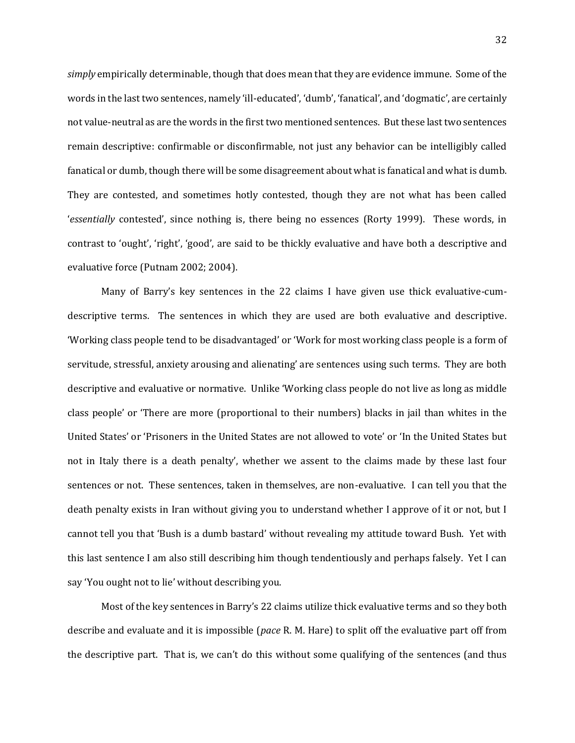*simply* empirically determinable, though that does mean that they are evidence immune. Some of the words in the last two sentences, namely 'ill-educated', 'dumb', 'fanatical', and 'dogmatic', are certainly not value-neutral as are the words in the first two mentioned sentences. But these last two sentences remain descriptive: confirmable or disconfirmable, not just any behavior can be intelligibly called fanatical or dumb, though there will be some disagreement about what is fanatical and what is dumb. They are contested, and sometimes hotly contested, though they are not what has been called '*essentially* contested', since nothing is, there being no essences (Rorty 1999). These words, in contrast to 'ought', 'right', 'good', are said to be thickly evaluative and have both a descriptive and evaluative force (Putnam 2002; 2004).

Many of Barry's key sentences in the 22 claims I have given use thick evaluative-cumdescriptive terms. The sentences in which they are used are both evaluative and descriptive. 'Working class people tend to be disadvantaged' or 'Work for most working class people is a form of servitude, stressful, anxiety arousing and alienating' are sentences using such terms. They are both descriptive and evaluative or normative. Unlike 'Working class people do not live as long as middle class people' or 'There are more (proportional to their numbers) blacks in jail than whites in the United States' or 'Prisoners in the United States are not allowed to vote' or 'In the United States but not in Italy there is a death penalty', whether we assent to the claims made by these last four sentences or not. These sentences, taken in themselves, are non-evaluative. I can tell you that the death penalty exists in Iran without giving you to understand whether I approve of it or not, but I cannot tell you that 'Bush is a dumb bastard' without revealing my attitude toward Bush. Yet with this last sentence I am also still describing him though tendentiously and perhaps falsely. Yet I can say 'You ought not to lie' without describing you.

Most of the key sentences in Barry's 22 claims utilize thick evaluative terms and so they both describe and evaluate and it is impossible (*pace* R. M. Hare) to split off the evaluative part off from the descriptive part. That is, we can't do this without some qualifying of the sentences (and thus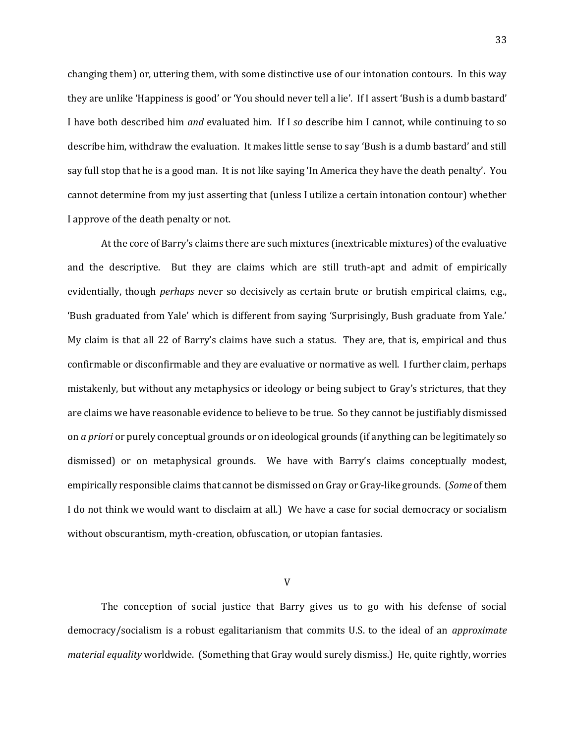changing them) or, uttering them, with some distinctive use of our intonation contours. In this way they are unlike 'Happiness is good' or 'You should never tell a lie'. If I assert 'Bush is a dumb bastard' I have both described him *and* evaluated him. If I *so* describe him I cannot, while continuing to so describe him, withdraw the evaluation. It makes little sense to say 'Bush is a dumb bastard' and still say full stop that he is a good man. It is not like saying 'In America they have the death penalty'. You cannot determine from my just asserting that (unless I utilize a certain intonation contour) whether I approve of the death penalty or not.

At the core of Barry's claims there are such mixtures (inextricable mixtures) of the evaluative and the descriptive. But they are claims which are still truth-apt and admit of empirically evidentially, though *perhaps* never so decisively as certain brute or brutish empirical claims, e.g., 'Bush graduated from Yale' which is different from saying 'Surprisingly, Bush graduate from Yale.' My claim is that all 22 of Barry's claims have such a status. They are, that is, empirical and thus confirmable or disconfirmable and they are evaluative or normative as well. I further claim, perhaps mistakenly, but without any metaphysics or ideology or being subject to Gray's strictures, that they are claims we have reasonable evidence to believe to be true. So they cannot be justifiably dismissed on *a priori* or purely conceptual grounds or on ideological grounds (if anything can be legitimately so dismissed) or on metaphysical grounds. We have with Barry's claims conceptually modest, empirically responsible claims that cannot be dismissed on Gray or Gray-like grounds. (*Some* of them I do not think we would want to disclaim at all.) We have a case for social democracy or socialism without obscurantism, myth-creation, obfuscation, or utopian fantasies.

V

The conception of social justice that Barry gives us to go with his defense of social democracy/socialism is a robust egalitarianism that commits U.S. to the ideal of an *approximate material equality* worldwide. (Something that Gray would surely dismiss.) He, quite rightly, worries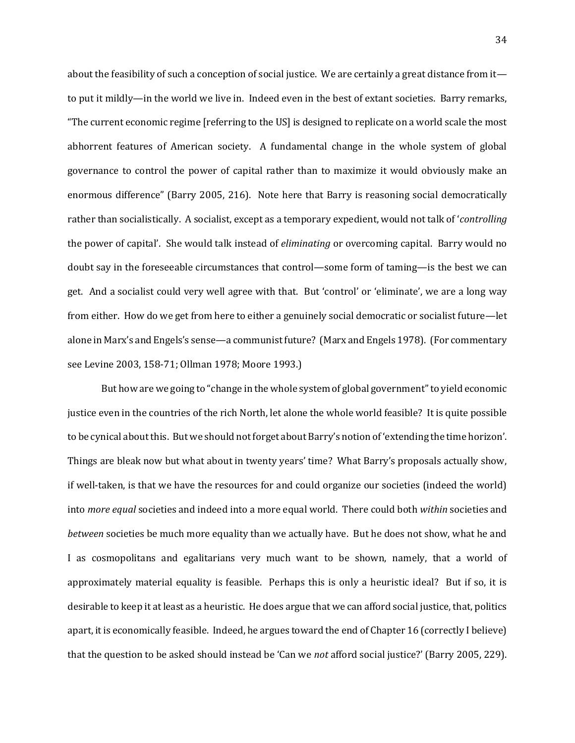about the feasibility of such a conception of social justice. We are certainly a great distance from it to put it mildly—in the world we live in. Indeed even in the best of extant societies. Barry remarks, "The current economic regime [referring to the US] is designed to replicate on a world scale the most abhorrent features of American society. A fundamental change in the whole system of global governance to control the power of capital rather than to maximize it would obviously make an enormous difference" (Barry 2005, 216). Note here that Barry is reasoning social democratically rather than socialistically. A socialist, except as a temporary expedient, would not talk of '*controlling* the power of capital'. She would talk instead of *eliminating* or overcoming capital. Barry would no doubt say in the foreseeable circumstances that control—some form of taming—is the best we can get. And a socialist could very well agree with that. But 'control' or 'eliminate', we are a long way from either. How do we get from here to either a genuinely social democratic or socialist future—let alone in Marx's and Engels's sense—a communist future? (Marx and Engels 1978). (For commentary see Levine 2003, 158-71; Ollman 1978; Moore 1993.)

But how are we going to "change in the whole system of global government" to yield economic justice even in the countries of the rich North, let alone the whole world feasible? It is quite possible to be cynical about this. But we should not forget about Barry's notion of 'extending the time horizon'. Things are bleak now but what about in twenty years' time? What Barry's proposals actually show, if well-taken, is that we have the resources for and could organize our societies (indeed the world) into *more equal* societies and indeed into a more equal world. There could both *within* societies and *between* societies be much more equality than we actually have. But he does not show, what he and I as cosmopolitans and egalitarians very much want to be shown, namely, that a world of approximately material equality is feasible. Perhaps this is only a heuristic ideal? But if so, it is desirable to keep it at least as a heuristic. He does argue that we can afford social justice, that, politics apart, it is economically feasible. Indeed, he argues toward the end of Chapter 16 (correctly I believe) that the question to be asked should instead be 'Can we *not* afford social justice?' (Barry 2005, 229).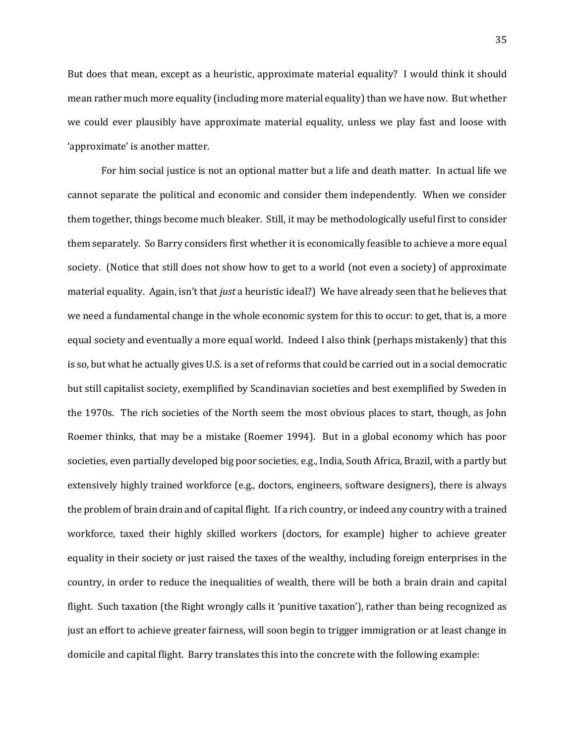But does that mean, except as a heuristic, approximate material equality? I would think it should mean rather much more equality (including more material equality) than we have now. But whether we could ever plausibly have approximate material equality, unless we play fast and loose with 'approximate' is another matter.

For him social justice is not an optional matter but a life and death matter. In actual life we cannot separate the political and economic and consider them independently. When we consider them together, things become much bleaker. Still, it may be methodologically useful first to consider them separately. So Barry considers first whether it is economically feasible to achieve a more equal society. (Notice that still does not show how to get to a world (not even a society) of approximate material equality. Again, isn't that *just* a heuristic ideal?) We have already seen that he believes that we need a fundamental change in the whole economic system for this to occur: to get, that is, a more equal society and eventually a more equal world. Indeed I also think (perhaps mistakenly) that this is so, but what he actually gives U.S. is a set of reforms that could be carried out in a social democratic but still capitalist society, exemplified by Scandinavian societies and best exemplified by Sweden in the 1970s. The rich societies of the North seem the most obvious places to start, though, as John Roemer thinks, that may be a mistake (Roemer 1994). But in a global economy which has poor societies, even partially developed big poor societies, e.g., India, South Africa, Brazil, with a partly but extensively highly trained workforce (e.g., doctors, engineers, software designers), there is always the problem of brain drain and of capital flight. If a rich country, or indeed any country with a trained workforce, taxed their highly skilled workers (doctors, for example) higher to achieve greater equality in their society or just raised the taxes of the wealthy, including foreign enterprises in the country, in order to reduce the inequalities of wealth, there will be both a brain drain and capital flight. Such taxation (the Right wrongly calls it 'punitive taxation'), rather than being recognized as just an effort to achieve greater fairness, will soon begin to trigger immigration or at least change in domicile and capital flight. Barry translates this into the concrete with the following example: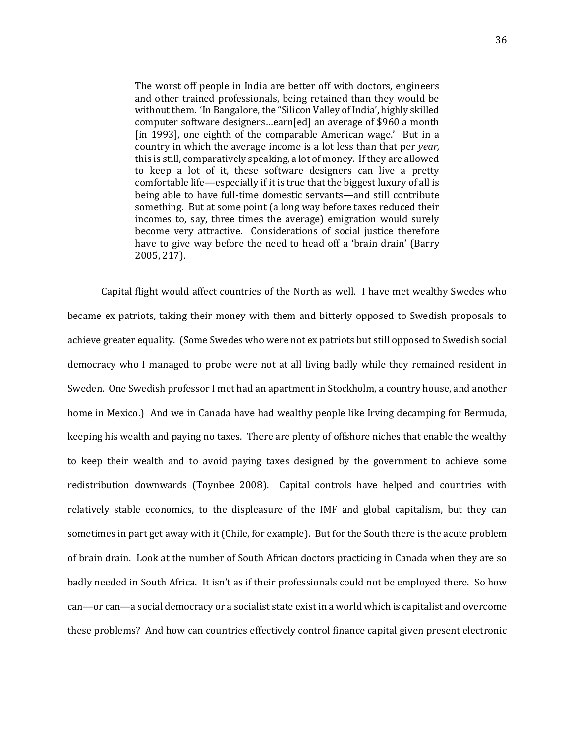The worst off people in India are better off with doctors, engineers and other trained professionals, being retained than they would be without them. 'In Bangalore, the "Silicon Valley of India', highly skilled computer software designers…earn[ed] an average of \$960 a month [in 1993], one eighth of the comparable American wage.' But in a country in which the average income is a lot less than that per *year,*  this is still, comparatively speaking, a lot of money. If they are allowed to keep a lot of it, these software designers can live a pretty comfortable life—especially if it is true that the biggest luxury of all is being able to have full-time domestic servants—and still contribute something. But at some point (a long way before taxes reduced their incomes to, say, three times the average) emigration would surely become very attractive. Considerations of social justice therefore have to give way before the need to head off a 'brain drain' (Barry 2005, 217).

Capital flight would affect countries of the North as well. I have met wealthy Swedes who became ex patriots, taking their money with them and bitterly opposed to Swedish proposals to achieve greater equality. (Some Swedes who were not ex patriots but still opposed to Swedish social democracy who I managed to probe were not at all living badly while they remained resident in Sweden. One Swedish professor I met had an apartment in Stockholm, a country house, and another home in Mexico.) And we in Canada have had wealthy people like Irving decamping for Bermuda, keeping his wealth and paying no taxes. There are plenty of offshore niches that enable the wealthy to keep their wealth and to avoid paying taxes designed by the government to achieve some redistribution downwards (Toynbee 2008). Capital controls have helped and countries with relatively stable economics, to the displeasure of the IMF and global capitalism, but they can sometimes in part get away with it (Chile, for example). But for the South there is the acute problem of brain drain. Look at the number of South African doctors practicing in Canada when they are so badly needed in South Africa. It isn't as if their professionals could not be employed there. So how can—or can—a social democracy or a socialist state exist in a world which is capitalist and overcome these problems? And how can countries effectively control finance capital given present electronic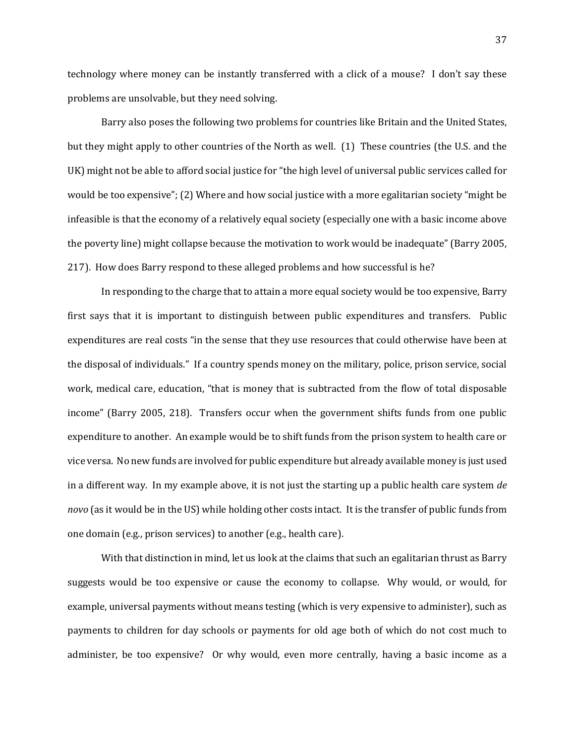technology where money can be instantly transferred with a click of a mouse? I don't say these problems are unsolvable, but they need solving.

Barry also poses the following two problems for countries like Britain and the United States, but they might apply to other countries of the North as well. (1) These countries (the U.S. and the UK) might not be able to afford social justice for "the high level of universal public services called for would be too expensive"; (2) Where and how social justice with a more egalitarian society "might be infeasible is that the economy of a relatively equal society (especially one with a basic income above the poverty line) might collapse because the motivation to work would be inadequate" (Barry 2005, 217). How does Barry respond to these alleged problems and how successful is he?

In responding to the charge that to attain a more equal society would be too expensive, Barry first says that it is important to distinguish between public expenditures and transfers. Public expenditures are real costs "in the sense that they use resources that could otherwise have been at the disposal of individuals." If a country spends money on the military, police, prison service, social work, medical care, education, "that is money that is subtracted from the flow of total disposable income" (Barry 2005, 218). Transfers occur when the government shifts funds from one public expenditure to another. An example would be to shift funds from the prison system to health care or vice versa. No new funds are involved for public expenditure but already available money is just used in a different way. In my example above, it is not just the starting up a public health care system *de novo* (as it would be in the US) while holding other costs intact. It is the transfer of public funds from one domain (e.g., prison services) to another (e.g., health care).

With that distinction in mind, let us look at the claims that such an egalitarian thrust as Barry suggests would be too expensive or cause the economy to collapse. Why would, or would, for example, universal payments without means testing (which is very expensive to administer), such as payments to children for day schools or payments for old age both of which do not cost much to administer, be too expensive? Or why would, even more centrally, having a basic income as a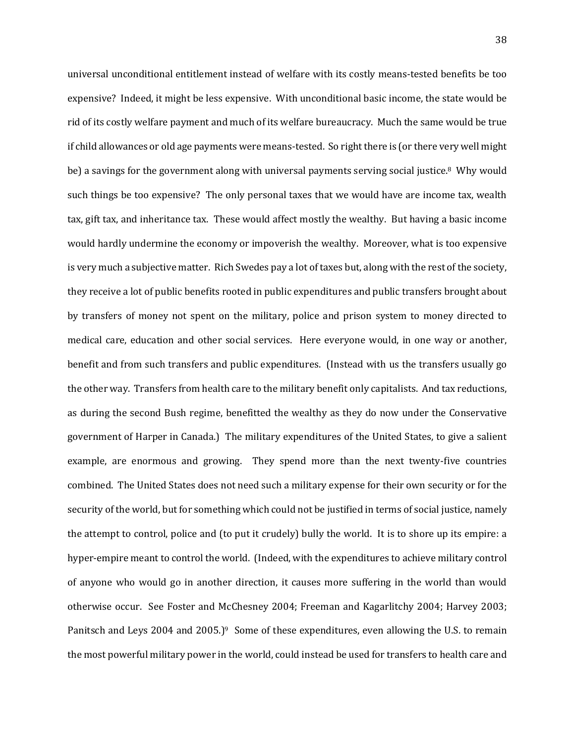universal unconditional entitlement instead of welfare with its costly means-tested benefits be too expensive? Indeed, it might be less expensive. With unconditional basic income, the state would be rid of its costly welfare payment and much of its welfare bureaucracy. Much the same would be true if child allowances or old age payments were means-tested. So right there is (or there very well might be) a savings for the government along with universal payments serving social justice.<sup>8</sup> Why would such things be too expensive? The only personal taxes that we would have are income tax, wealth tax, gift tax, and inheritance tax. These would affect mostly the wealthy. But having a basic income would hardly undermine the economy or impoverish the wealthy. Moreover, what is too expensive is very much a subjective matter. Rich Swedes pay a lot of taxes but, along with the rest of the society, they receive a lot of public benefits rooted in public expenditures and public transfers brought about by transfers of money not spent on the military, police and prison system to money directed to medical care, education and other social services. Here everyone would, in one way or another, benefit and from such transfers and public expenditures. (Instead with us the transfers usually go the other way. Transfers from health care to the military benefit only capitalists. And tax reductions, as during the second Bush regime, benefitted the wealthy as they do now under the Conservative government of Harper in Canada.) The military expenditures of the United States, to give a salient example, are enormous and growing. They spend more than the next twenty-five countries combined. The United States does not need such a military expense for their own security or for the security of the world, but for something which could not be justified in terms of social justice, namely the attempt to control, police and (to put it crudely) bully the world. It is to shore up its empire: a hyper-empire meant to control the world. (Indeed, with the expenditures to achieve military control of anyone who would go in another direction, it causes more suffering in the world than would otherwise occur. See Foster and McChesney 2004; Freeman and Kagarlitchy 2004; Harvey 2003; Panitsch and Leys 2004 and 2005.)<sup>9</sup> Some of these expenditures, even allowing the U.S. to remain the most powerful military power in the world, could instead be used for transfers to health care and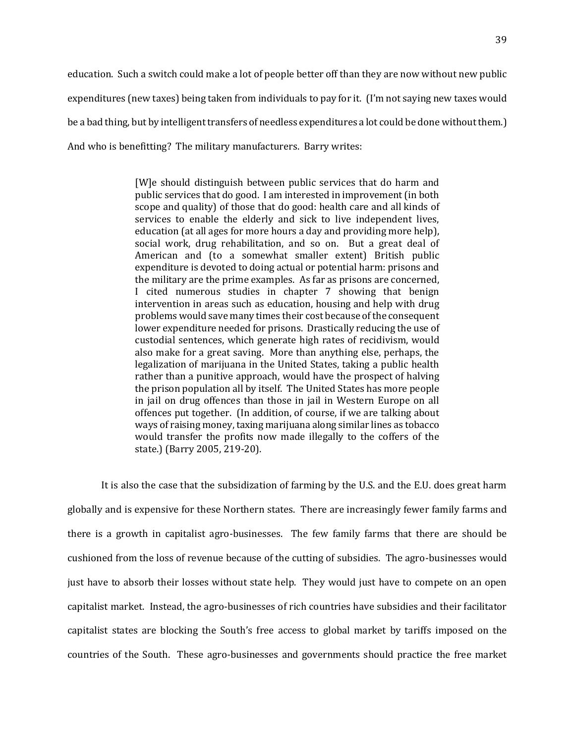education. Such a switch could make a lot of people better off than they are now without new public expenditures (new taxes) being taken from individuals to pay for it. (I'm not saying new taxes would be a bad thing, but by intelligent transfers of needless expenditures a lot could be done without them.) And who is benefitting? The military manufacturers. Barry writes:

> [W]e should distinguish between public services that do harm and public services that do good. I am interested in improvement (in both scope and quality) of those that do good: health care and all kinds of services to enable the elderly and sick to live independent lives, education (at all ages for more hours a day and providing more help), social work, drug rehabilitation, and so on. But a great deal of American and (to a somewhat smaller extent) British public expenditure is devoted to doing actual or potential harm: prisons and the military are the prime examples. As far as prisons are concerned, I cited numerous studies in chapter 7 showing that benign intervention in areas such as education, housing and help with drug problems would save many times their cost because of the consequent lower expenditure needed for prisons. Drastically reducing the use of custodial sentences, which generate high rates of recidivism, would also make for a great saving. More than anything else, perhaps, the legalization of marijuana in the United States, taking a public health rather than a punitive approach, would have the prospect of halving the prison population all by itself. The United States has more people in jail on drug offences than those in jail in Western Europe on all offences put together. (In addition, of course, if we are talking about ways of raising money, taxing marijuana along similar lines as tobacco would transfer the profits now made illegally to the coffers of the state.) (Barry 2005, 219-20).

It is also the case that the subsidization of farming by the U.S. and the E.U. does great harm globally and is expensive for these Northern states. There are increasingly fewer family farms and there is a growth in capitalist agro-businesses. The few family farms that there are should be cushioned from the loss of revenue because of the cutting of subsidies. The agro-businesses would just have to absorb their losses without state help. They would just have to compete on an open capitalist market. Instead, the agro-businesses of rich countries have subsidies and their facilitator capitalist states are blocking the South's free access to global market by tariffs imposed on the countries of the South. These agro-businesses and governments should practice the free market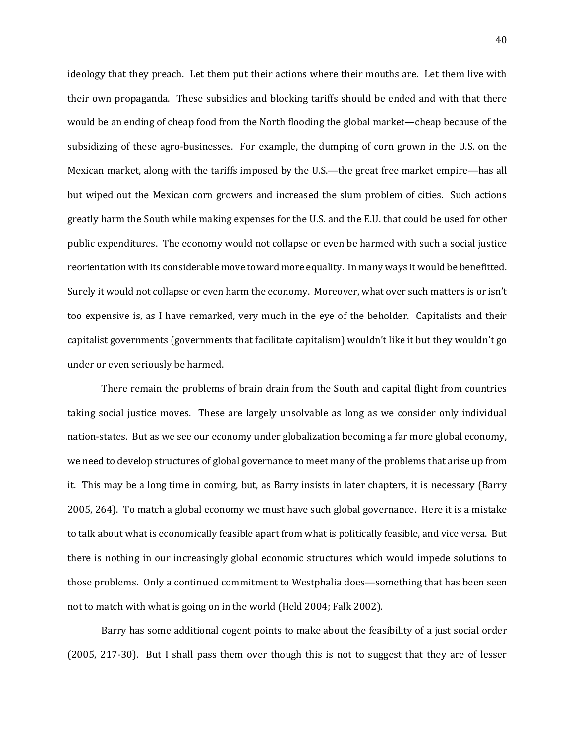ideology that they preach. Let them put their actions where their mouths are. Let them live with their own propaganda. These subsidies and blocking tariffs should be ended and with that there would be an ending of cheap food from the North flooding the global market—cheap because of the subsidizing of these agro-businesses. For example, the dumping of corn grown in the U.S. on the Mexican market, along with the tariffs imposed by the U.S.—the great free market empire—has all but wiped out the Mexican corn growers and increased the slum problem of cities. Such actions greatly harm the South while making expenses for the U.S. and the E.U. that could be used for other public expenditures. The economy would not collapse or even be harmed with such a social justice reorientation with its considerable move toward more equality. In many ways it would be benefitted. Surely it would not collapse or even harm the economy. Moreover, what over such matters is or isn't too expensive is, as I have remarked, very much in the eye of the beholder. Capitalists and their capitalist governments (governments that facilitate capitalism) wouldn't like it but they wouldn't go under or even seriously be harmed.

There remain the problems of brain drain from the South and capital flight from countries taking social justice moves. These are largely unsolvable as long as we consider only individual nation-states. But as we see our economy under globalization becoming a far more global economy, we need to develop structures of global governance to meet many of the problems that arise up from it. This may be a long time in coming, but, as Barry insists in later chapters, it is necessary (Barry 2005, 264). To match a global economy we must have such global governance. Here it is a mistake to talk about what is economically feasible apart from what is politically feasible, and vice versa. But there is nothing in our increasingly global economic structures which would impede solutions to those problems. Only a continued commitment to Westphalia does—something that has been seen not to match with what is going on in the world (Held 2004; Falk 2002).

Barry has some additional cogent points to make about the feasibility of a just social order (2005, 217-30). But I shall pass them over though this is not to suggest that they are of lesser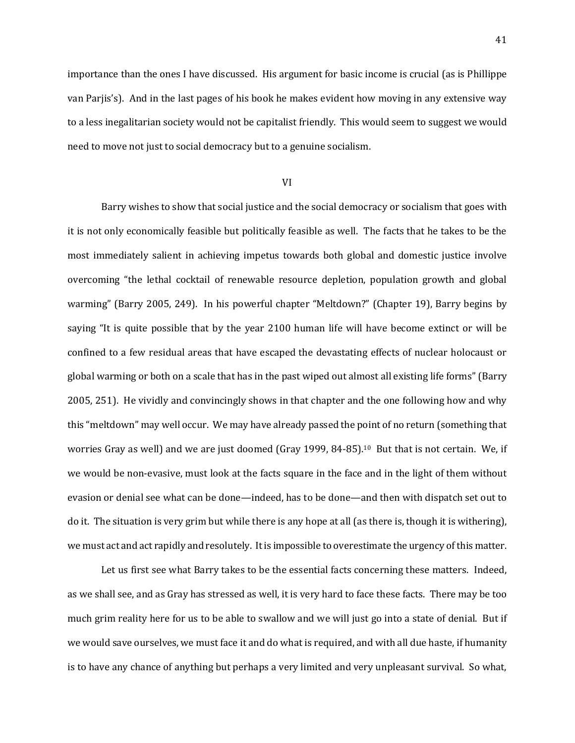importance than the ones I have discussed. His argument for basic income is crucial (as is Phillippe van Parjis's). And in the last pages of his book he makes evident how moving in any extensive way to a less inegalitarian society would not be capitalist friendly. This would seem to suggest we would need to move not just to social democracy but to a genuine socialism.

#### VI

Barry wishes to show that social justice and the social democracy or socialism that goes with it is not only economically feasible but politically feasible as well. The facts that he takes to be the most immediately salient in achieving impetus towards both global and domestic justice involve overcoming "the lethal cocktail of renewable resource depletion, population growth and global warming" (Barry 2005, 249). In his powerful chapter "Meltdown?" (Chapter 19), Barry begins by saying "It is quite possible that by the year 2100 human life will have become extinct or will be confined to a few residual areas that have escaped the devastating effects of nuclear holocaust or global warming or both on a scale that has in the past wiped out almost all existing life forms" (Barry 2005, 251). He vividly and convincingly shows in that chapter and the one following how and why this "meltdown" may well occur. We may have already passed the point of no return (something that worries Gray as well) and we are just doomed (Gray 1999, 84-85).10 But that is not certain. We, if we would be non-evasive, must look at the facts square in the face and in the light of them without evasion or denial see what can be done—indeed, has to be done—and then with dispatch set out to do it. The situation is very grim but while there is any hope at all (as there is, though it is withering), we must act and act rapidly and resolutely. It is impossible to overestimate the urgency of this matter.

Let us first see what Barry takes to be the essential facts concerning these matters. Indeed, as we shall see, and as Gray has stressed as well, it is very hard to face these facts. There may be too much grim reality here for us to be able to swallow and we will just go into a state of denial. But if we would save ourselves, we must face it and do what is required, and with all due haste, if humanity is to have any chance of anything but perhaps a very limited and very unpleasant survival. So what,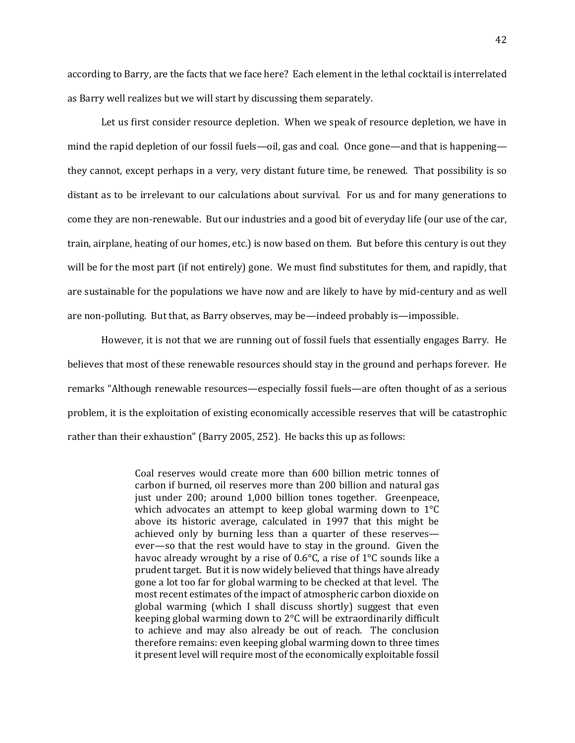according to Barry, are the facts that we face here? Each element in the lethal cocktail is interrelated as Barry well realizes but we will start by discussing them separately.

Let us first consider resource depletion. When we speak of resource depletion, we have in mind the rapid depletion of our fossil fuels—oil, gas and coal. Once gone—and that is happening they cannot, except perhaps in a very, very distant future time, be renewed. That possibility is so distant as to be irrelevant to our calculations about survival. For us and for many generations to come they are non-renewable. But our industries and a good bit of everyday life (our use of the car, train, airplane, heating of our homes, etc.) is now based on them. But before this century is out they will be for the most part (if not entirely) gone. We must find substitutes for them, and rapidly, that are sustainable for the populations we have now and are likely to have by mid-century and as well are non-polluting. But that, as Barry observes, may be—indeed probably is—impossible.

However, it is not that we are running out of fossil fuels that essentially engages Barry. He believes that most of these renewable resources should stay in the ground and perhaps forever. He remarks "Although renewable resources—especially fossil fuels—are often thought of as a serious problem, it is the exploitation of existing economically accessible reserves that will be catastrophic rather than their exhaustion" (Barry 2005, 252). He backs this up as follows:

> Coal reserves would create more than 600 billion metric tonnes of carbon if burned, oil reserves more than 200 billion and natural gas just under 200; around 1,000 billion tones together. Greenpeace, which advocates an attempt to keep global warming down to 1°C above its historic average, calculated in 1997 that this might be achieved only by burning less than a quarter of these reserves ever—so that the rest would have to stay in the ground. Given the havoc already wrought by a rise of 0.6°C, a rise of 1°C sounds like a prudent target. But it is now widely believed that things have already gone a lot too far for global warming to be checked at that level. The most recent estimates of the impact of atmospheric carbon dioxide on global warming (which I shall discuss shortly) suggest that even keeping global warming down to 2°C will be extraordinarily difficult to achieve and may also already be out of reach. The conclusion therefore remains: even keeping global warming down to three times it present level will require most of the economically exploitable fossil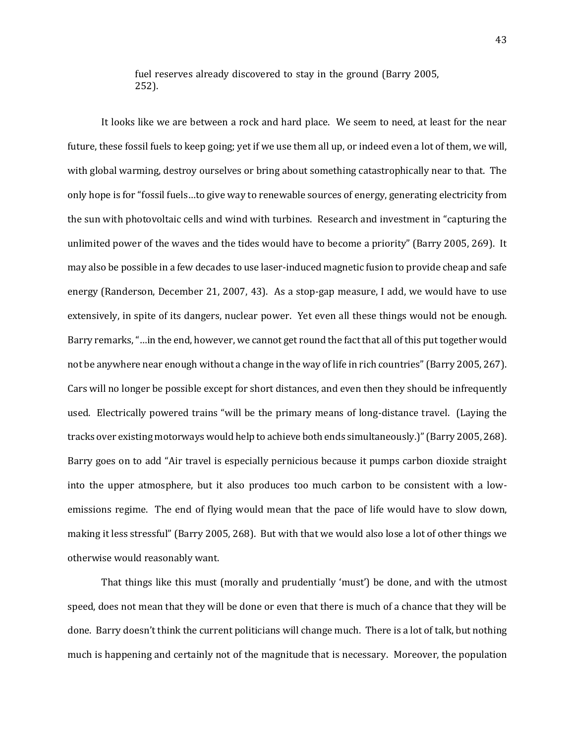fuel reserves already discovered to stay in the ground (Barry 2005, 252).

It looks like we are between a rock and hard place. We seem to need, at least for the near future, these fossil fuels to keep going; yet if we use them all up, or indeed even a lot of them, we will, with global warming, destroy ourselves or bring about something catastrophically near to that. The only hope is for "fossil fuels…to give way to renewable sources of energy, generating electricity from the sun with photovoltaic cells and wind with turbines. Research and investment in "capturing the unlimited power of the waves and the tides would have to become a priority" (Barry 2005, 269). It may also be possible in a few decades to use laser-induced magnetic fusion to provide cheap and safe energy (Randerson, December 21, 2007, 43). As a stop-gap measure, I add, we would have to use extensively, in spite of its dangers, nuclear power. Yet even all these things would not be enough. Barry remarks, "…in the end, however, we cannot get round the fact that all of this put together would not be anywhere near enough without a change in the way of life in rich countries" (Barry 2005, 267). Cars will no longer be possible except for short distances, and even then they should be infrequently used. Electrically powered trains "will be the primary means of long-distance travel. (Laying the tracks over existing motorways would help to achieve both ends simultaneously.)" (Barry 2005, 268). Barry goes on to add "Air travel is especially pernicious because it pumps carbon dioxide straight into the upper atmosphere, but it also produces too much carbon to be consistent with a lowemissions regime. The end of flying would mean that the pace of life would have to slow down, making it less stressful" (Barry 2005, 268). But with that we would also lose a lot of other things we otherwise would reasonably want.

That things like this must (morally and prudentially 'must') be done, and with the utmost speed, does not mean that they will be done or even that there is much of a chance that they will be done. Barry doesn't think the current politicians will change much. There is a lot of talk, but nothing much is happening and certainly not of the magnitude that is necessary. Moreover, the population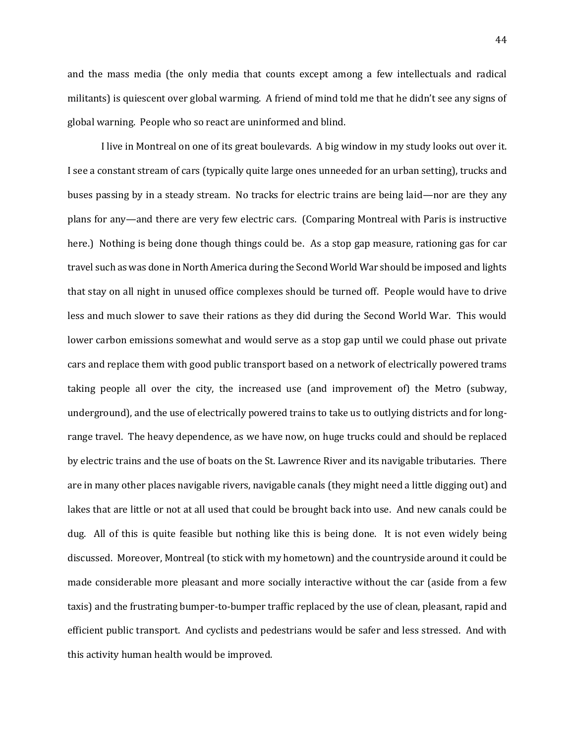and the mass media (the only media that counts except among a few intellectuals and radical militants) is quiescent over global warming. A friend of mind told me that he didn't see any signs of global warning. People who so react are uninformed and blind.

I live in Montreal on one of its great boulevards. A big window in my study looks out over it. I see a constant stream of cars (typically quite large ones unneeded for an urban setting), trucks and buses passing by in a steady stream. No tracks for electric trains are being laid—nor are they any plans for any—and there are very few electric cars. (Comparing Montreal with Paris is instructive here.) Nothing is being done though things could be. As a stop gap measure, rationing gas for car travel such as was done in North America during the Second World War should be imposed and lights that stay on all night in unused office complexes should be turned off. People would have to drive less and much slower to save their rations as they did during the Second World War. This would lower carbon emissions somewhat and would serve as a stop gap until we could phase out private cars and replace them with good public transport based on a network of electrically powered trams taking people all over the city, the increased use (and improvement of) the Metro (subway, underground), and the use of electrically powered trains to take us to outlying districts and for longrange travel. The heavy dependence, as we have now, on huge trucks could and should be replaced by electric trains and the use of boats on the St. Lawrence River and its navigable tributaries. There are in many other places navigable rivers, navigable canals (they might need a little digging out) and lakes that are little or not at all used that could be brought back into use. And new canals could be dug. All of this is quite feasible but nothing like this is being done. It is not even widely being discussed. Moreover, Montreal (to stick with my hometown) and the countryside around it could be made considerable more pleasant and more socially interactive without the car (aside from a few taxis) and the frustrating bumper-to-bumper traffic replaced by the use of clean, pleasant, rapid and efficient public transport. And cyclists and pedestrians would be safer and less stressed. And with this activity human health would be improved.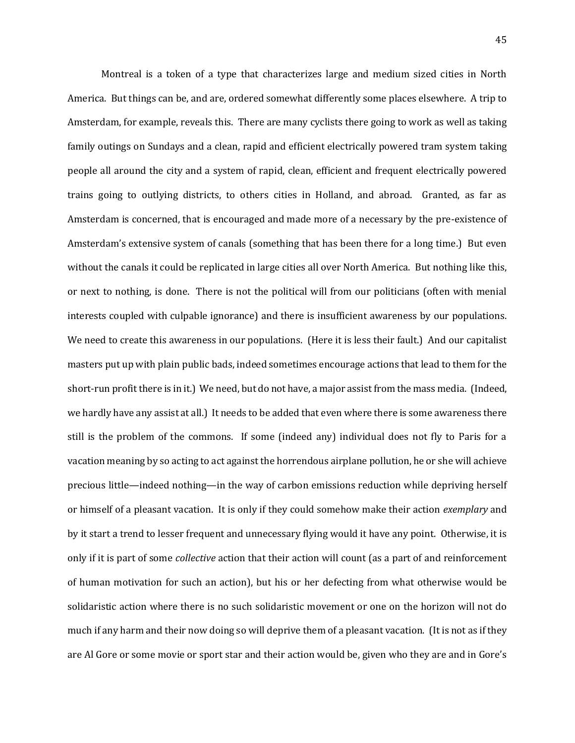Montreal is a token of a type that characterizes large and medium sized cities in North America. But things can be, and are, ordered somewhat differently some places elsewhere. A trip to Amsterdam, for example, reveals this. There are many cyclists there going to work as well as taking family outings on Sundays and a clean, rapid and efficient electrically powered tram system taking people all around the city and a system of rapid, clean, efficient and frequent electrically powered trains going to outlying districts, to others cities in Holland, and abroad. Granted, as far as Amsterdam is concerned, that is encouraged and made more of a necessary by the pre-existence of Amsterdam's extensive system of canals (something that has been there for a long time.) But even without the canals it could be replicated in large cities all over North America. But nothing like this, or next to nothing, is done. There is not the political will from our politicians (often with menial interests coupled with culpable ignorance) and there is insufficient awareness by our populations. We need to create this awareness in our populations. (Here it is less their fault.) And our capitalist masters put up with plain public bads, indeed sometimes encourage actions that lead to them for the short-run profit there is in it.) We need, but do not have, a major assist from the mass media. (Indeed, we hardly have any assist at all.) It needs to be added that even where there is some awareness there still is the problem of the commons. If some (indeed any) individual does not fly to Paris for a vacation meaning by so acting to act against the horrendous airplane pollution, he or she will achieve precious little—indeed nothing—in the way of carbon emissions reduction while depriving herself or himself of a pleasant vacation. It is only if they could somehow make their action *exemplary* and by it start a trend to lesser frequent and unnecessary flying would it have any point. Otherwise, it is only if it is part of some *collective* action that their action will count (as a part of and reinforcement of human motivation for such an action), but his or her defecting from what otherwise would be solidaristic action where there is no such solidaristic movement or one on the horizon will not do much if any harm and their now doing so will deprive them of a pleasant vacation. (It is not as if they are Al Gore or some movie or sport star and their action would be, given who they are and in Gore's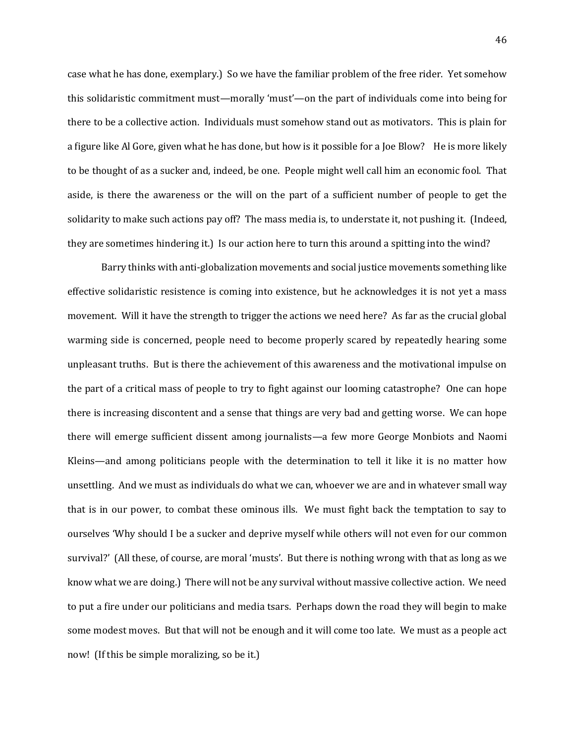case what he has done, exemplary.) So we have the familiar problem of the free rider. Yet somehow this solidaristic commitment must—morally 'must'—on the part of individuals come into being for there to be a collective action. Individuals must somehow stand out as motivators. This is plain for a figure like Al Gore, given what he has done, but how is it possible for a Joe Blow? He is more likely to be thought of as a sucker and, indeed, be one. People might well call him an economic fool. That aside, is there the awareness or the will on the part of a sufficient number of people to get the solidarity to make such actions pay off? The mass media is, to understate it, not pushing it. (Indeed, they are sometimes hindering it.) Is our action here to turn this around a spitting into the wind?

Barry thinks with anti-globalization movements and social justice movements something like effective solidaristic resistence is coming into existence, but he acknowledges it is not yet a mass movement. Will it have the strength to trigger the actions we need here? As far as the crucial global warming side is concerned, people need to become properly scared by repeatedly hearing some unpleasant truths. But is there the achievement of this awareness and the motivational impulse on the part of a critical mass of people to try to fight against our looming catastrophe? One can hope there is increasing discontent and a sense that things are very bad and getting worse. We can hope there will emerge sufficient dissent among journalists—a few more George Monbiots and Naomi Kleins—and among politicians people with the determination to tell it like it is no matter how unsettling. And we must as individuals do what we can, whoever we are and in whatever small way that is in our power, to combat these ominous ills. We must fight back the temptation to say to ourselves 'Why should I be a sucker and deprive myself while others will not even for our common survival?' (All these, of course, are moral 'musts'. But there is nothing wrong with that as long as we know what we are doing.) There will not be any survival without massive collective action. We need to put a fire under our politicians and media tsars. Perhaps down the road they will begin to make some modest moves. But that will not be enough and it will come too late. We must as a people act now! (If this be simple moralizing, so be it.)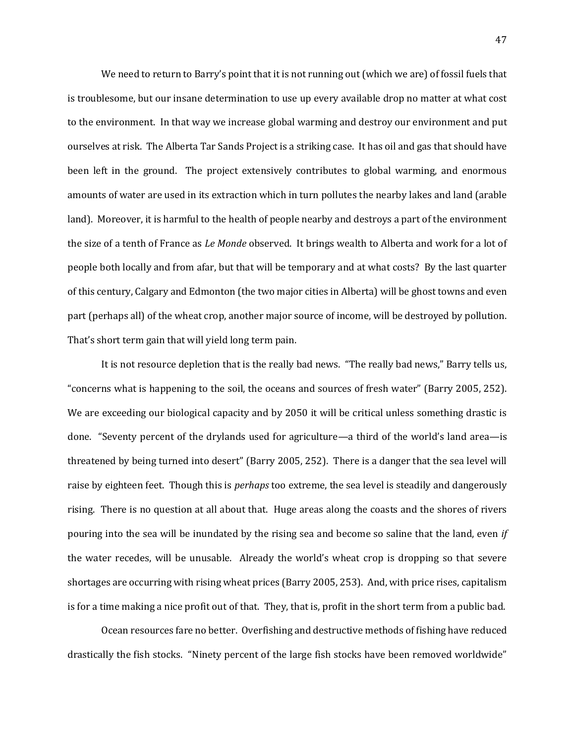We need to return to Barry's point that it is not running out (which we are) of fossil fuels that is troublesome, but our insane determination to use up every available drop no matter at what cost to the environment. In that way we increase global warming and destroy our environment and put ourselves at risk. The Alberta Tar Sands Project is a striking case. It has oil and gas that should have been left in the ground. The project extensively contributes to global warming, and enormous amounts of water are used in its extraction which in turn pollutes the nearby lakes and land (arable land). Moreover, it is harmful to the health of people nearby and destroys a part of the environment the size of a tenth of France as *Le Monde* observed. It brings wealth to Alberta and work for a lot of people both locally and from afar, but that will be temporary and at what costs? By the last quarter of this century, Calgary and Edmonton (the two major cities in Alberta) will be ghost towns and even part (perhaps all) of the wheat crop, another major source of income, will be destroyed by pollution. That's short term gain that will yield long term pain.

It is not resource depletion that is the really bad news. "The really bad news," Barry tells us, "concerns what is happening to the soil, the oceans and sources of fresh water" (Barry 2005, 252). We are exceeding our biological capacity and by 2050 it will be critical unless something drastic is done. "Seventy percent of the drylands used for agriculture—a third of the world's land area—is threatened by being turned into desert" (Barry 2005, 252). There is a danger that the sea level will raise by eighteen feet. Though this is *perhaps* too extreme, the sea level is steadily and dangerously rising. There is no question at all about that. Huge areas along the coasts and the shores of rivers pouring into the sea will be inundated by the rising sea and become so saline that the land, even *if*  the water recedes, will be unusable. Already the world's wheat crop is dropping so that severe shortages are occurring with rising wheat prices (Barry 2005, 253). And, with price rises, capitalism is for a time making a nice profit out of that. They, that is, profit in the short term from a public bad.

Ocean resources fare no better. Overfishing and destructive methods of fishing have reduced drastically the fish stocks. "Ninety percent of the large fish stocks have been removed worldwide"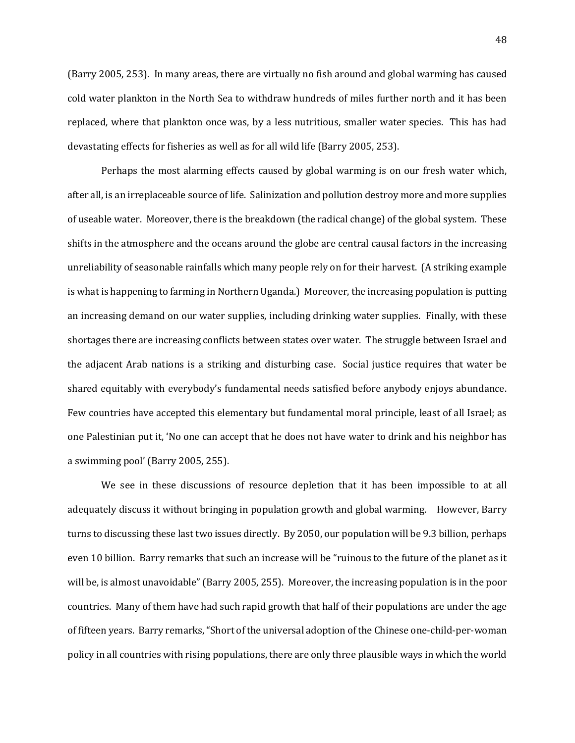(Barry 2005, 253). In many areas, there are virtually no fish around and global warming has caused cold water plankton in the North Sea to withdraw hundreds of miles further north and it has been replaced, where that plankton once was, by a less nutritious, smaller water species. This has had devastating effects for fisheries as well as for all wild life (Barry 2005, 253).

Perhaps the most alarming effects caused by global warming is on our fresh water which, after all, is an irreplaceable source of life. Salinization and pollution destroy more and more supplies of useable water. Moreover, there is the breakdown (the radical change) of the global system. These shifts in the atmosphere and the oceans around the globe are central causal factors in the increasing unreliability of seasonable rainfalls which many people rely on for their harvest. (A striking example is what is happening to farming in Northern Uganda.) Moreover, the increasing population is putting an increasing demand on our water supplies, including drinking water supplies. Finally, with these shortages there are increasing conflicts between states over water. The struggle between Israel and the adjacent Arab nations is a striking and disturbing case. Social justice requires that water be shared equitably with everybody's fundamental needs satisfied before anybody enjoys abundance. Few countries have accepted this elementary but fundamental moral principle, least of all Israel; as one Palestinian put it, 'No one can accept that he does not have water to drink and his neighbor has a swimming pool' (Barry 2005, 255).

We see in these discussions of resource depletion that it has been impossible to at all adequately discuss it without bringing in population growth and global warming. However, Barry turns to discussing these last two issues directly. By 2050, our population will be 9.3 billion, perhaps even 10 billion. Barry remarks that such an increase will be "ruinous to the future of the planet as it will be, is almost unavoidable" (Barry 2005, 255). Moreover, the increasing population is in the poor countries. Many of them have had such rapid growth that half of their populations are under the age of fifteen years. Barry remarks, "Short of the universal adoption of the Chinese one-child-per-woman policy in all countries with rising populations, there are only three plausible ways in which the world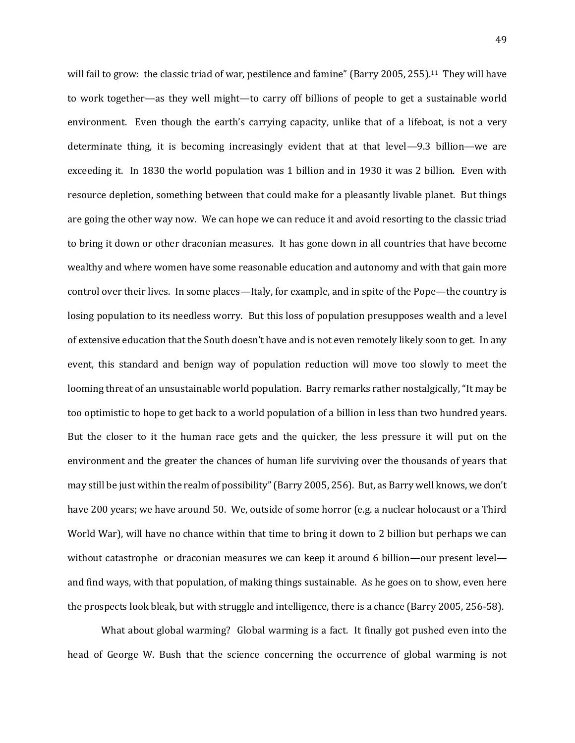will fail to grow: the classic triad of war, pestilence and famine" (Barry 2005, 255).<sup>11</sup> They will have to work together—as they well might—to carry off billions of people to get a sustainable world environment. Even though the earth's carrying capacity, unlike that of a lifeboat, is not a very determinate thing, it is becoming increasingly evident that at that level—9.3 billion—we are exceeding it. In 1830 the world population was 1 billion and in 1930 it was 2 billion. Even with resource depletion, something between that could make for a pleasantly livable planet. But things are going the other way now. We can hope we can reduce it and avoid resorting to the classic triad to bring it down or other draconian measures. It has gone down in all countries that have become wealthy and where women have some reasonable education and autonomy and with that gain more control over their lives. In some places—Italy, for example, and in spite of the Pope—the country is losing population to its needless worry. But this loss of population presupposes wealth and a level of extensive education that the South doesn't have and is not even remotely likely soon to get. In any event, this standard and benign way of population reduction will move too slowly to meet the looming threat of an unsustainable world population. Barry remarks rather nostalgically, "It may be too optimistic to hope to get back to a world population of a billion in less than two hundred years. But the closer to it the human race gets and the quicker, the less pressure it will put on the environment and the greater the chances of human life surviving over the thousands of years that may still be just within the realm of possibility" (Barry 2005, 256). But, as Barry well knows, we don't have 200 years; we have around 50. We, outside of some horror (e.g. a nuclear holocaust or a Third World War), will have no chance within that time to bring it down to 2 billion but perhaps we can without catastrophe or draconian measures we can keep it around 6 billion—our present level and find ways, with that population, of making things sustainable. As he goes on to show, even here the prospects look bleak, but with struggle and intelligence, there is a chance (Barry 2005, 256-58).

What about global warming? Global warming is a fact. It finally got pushed even into the head of George W. Bush that the science concerning the occurrence of global warming is not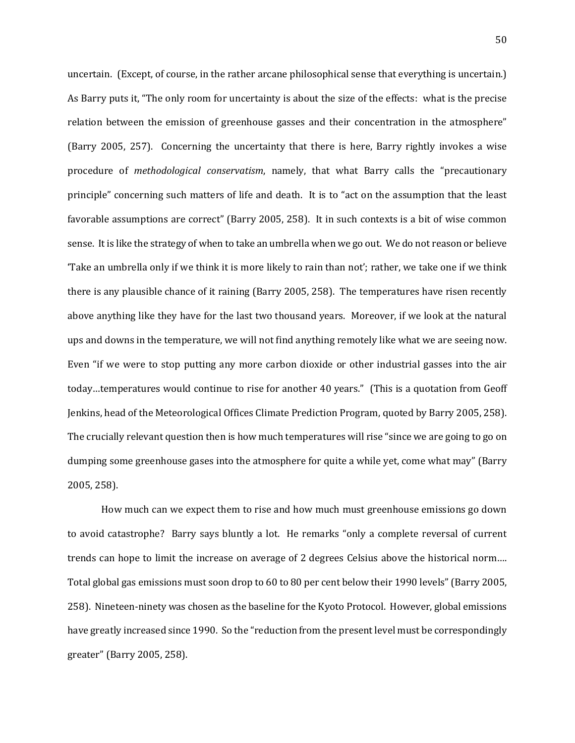uncertain. (Except, of course, in the rather arcane philosophical sense that everything is uncertain.) As Barry puts it, "The only room for uncertainty is about the size of the effects: what is the precise relation between the emission of greenhouse gasses and their concentration in the atmosphere" (Barry 2005, 257). Concerning the uncertainty that there is here, Barry rightly invokes a wise procedure of *methodological conservatism*, namely, that what Barry calls the "precautionary principle" concerning such matters of life and death. It is to "act on the assumption that the least favorable assumptions are correct" (Barry 2005, 258). It in such contexts is a bit of wise common sense. It is like the strategy of when to take an umbrella when we go out. We do not reason or believe 'Take an umbrella only if we think it is more likely to rain than not'; rather, we take one if we think there is any plausible chance of it raining (Barry 2005, 258). The temperatures have risen recently above anything like they have for the last two thousand years. Moreover, if we look at the natural ups and downs in the temperature, we will not find anything remotely like what we are seeing now. Even "if we were to stop putting any more carbon dioxide or other industrial gasses into the air today…temperatures would continue to rise for another 40 years." (This is a quotation from Geoff Jenkins, head of the Meteorological Offices Climate Prediction Program, quoted by Barry 2005, 258). The crucially relevant question then is how much temperatures will rise "since we are going to go on dumping some greenhouse gases into the atmosphere for quite a while yet, come what may" (Barry 2005, 258).

How much can we expect them to rise and how much must greenhouse emissions go down to avoid catastrophe? Barry says bluntly a lot. He remarks "only a complete reversal of current trends can hope to limit the increase on average of 2 degrees Celsius above the historical norm…. Total global gas emissions must soon drop to 60 to 80 per cent below their 1990 levels" (Barry 2005, 258). Nineteen-ninety was chosen as the baseline for the Kyoto Protocol. However, global emissions have greatly increased since 1990. So the "reduction from the present level must be correspondingly greater" (Barry 2005, 258).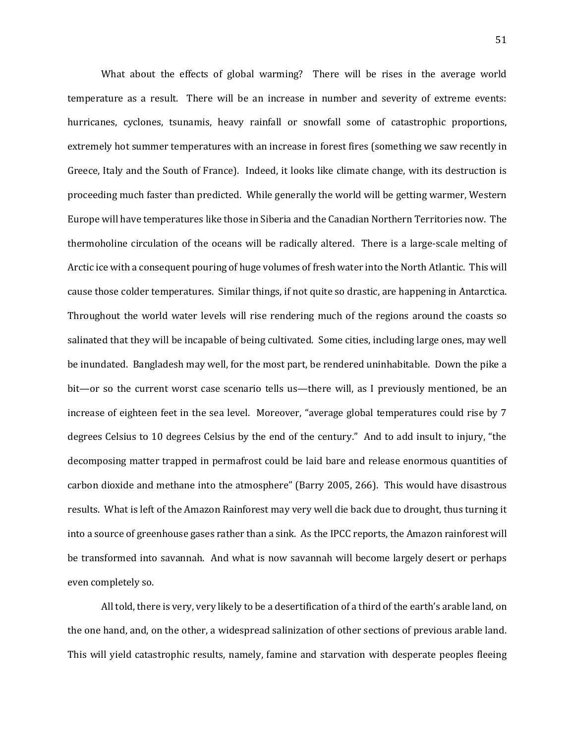What about the effects of global warming? There will be rises in the average world temperature as a result. There will be an increase in number and severity of extreme events: hurricanes, cyclones, tsunamis, heavy rainfall or snowfall some of catastrophic proportions, extremely hot summer temperatures with an increase in forest fires (something we saw recently in Greece, Italy and the South of France). Indeed, it looks like climate change, with its destruction is proceeding much faster than predicted. While generally the world will be getting warmer, Western Europe will have temperatures like those in Siberia and the Canadian Northern Territories now. The thermoholine circulation of the oceans will be radically altered. There is a large-scale melting of Arctic ice with a consequent pouring of huge volumes of fresh water into the North Atlantic. This will cause those colder temperatures. Similar things, if not quite so drastic, are happening in Antarctica. Throughout the world water levels will rise rendering much of the regions around the coasts so salinated that they will be incapable of being cultivated. Some cities, including large ones, may well be inundated. Bangladesh may well, for the most part, be rendered uninhabitable. Down the pike a bit—or so the current worst case scenario tells us—there will, as I previously mentioned, be an increase of eighteen feet in the sea level. Moreover, "average global temperatures could rise by 7 degrees Celsius to 10 degrees Celsius by the end of the century." And to add insult to injury, "the decomposing matter trapped in permafrost could be laid bare and release enormous quantities of carbon dioxide and methane into the atmosphere" (Barry 2005, 266). This would have disastrous results. What is left of the Amazon Rainforest may very well die back due to drought, thus turning it into a source of greenhouse gases rather than a sink. As the IPCC reports, the Amazon rainforest will be transformed into savannah. And what is now savannah will become largely desert or perhaps even completely so.

All told, there is very, very likely to be a desertification of a third of the earth's arable land, on the one hand, and, on the other, a widespread salinization of other sections of previous arable land. This will yield catastrophic results, namely, famine and starvation with desperate peoples fleeing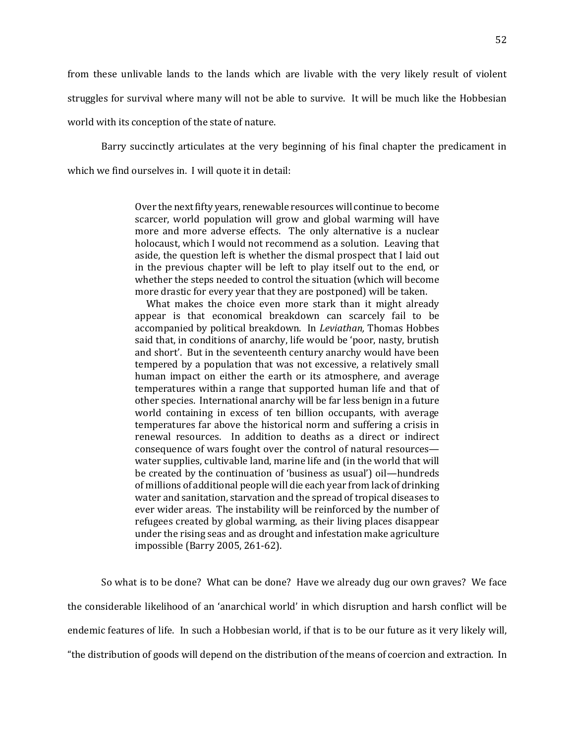from these unlivable lands to the lands which are livable with the very likely result of violent struggles for survival where many will not be able to survive. It will be much like the Hobbesian world with its conception of the state of nature.

Barry succinctly articulates at the very beginning of his final chapter the predicament in which we find ourselves in. I will quote it in detail:

> Over the next fifty years, renewable resources will continue to become scarcer, world population will grow and global warming will have more and more adverse effects. The only alternative is a nuclear holocaust, which I would not recommend as a solution. Leaving that aside, the question left is whether the dismal prospect that I laid out in the previous chapter will be left to play itself out to the end, or whether the steps needed to control the situation (which will become more drastic for every year that they are postponed) will be taken.

> What makes the choice even more stark than it might already appear is that economical breakdown can scarcely fail to be accompanied by political breakdown. In *Leviathan,* Thomas Hobbes said that, in conditions of anarchy, life would be 'poor, nasty, brutish and short'. But in the seventeenth century anarchy would have been tempered by a population that was not excessive, a relatively small human impact on either the earth or its atmosphere, and average temperatures within a range that supported human life and that of other species. International anarchy will be far less benign in a future world containing in excess of ten billion occupants, with average temperatures far above the historical norm and suffering a crisis in renewal resources. In addition to deaths as a direct or indirect consequence of wars fought over the control of natural resources water supplies, cultivable land, marine life and (in the world that will be created by the continuation of 'business as usual') oil—hundreds of millions of additional people will die each year from lack of drinking water and sanitation, starvation and the spread of tropical diseases to ever wider areas. The instability will be reinforced by the number of refugees created by global warming, as their living places disappear under the rising seas and as drought and infestation make agriculture impossible (Barry 2005, 261-62).

So what is to be done? What can be done? Have we already dug our own graves? We face the considerable likelihood of an 'anarchical world' in which disruption and harsh conflict will be endemic features of life. In such a Hobbesian world, if that is to be our future as it very likely will, "the distribution of goods will depend on the distribution of the means of coercion and extraction. In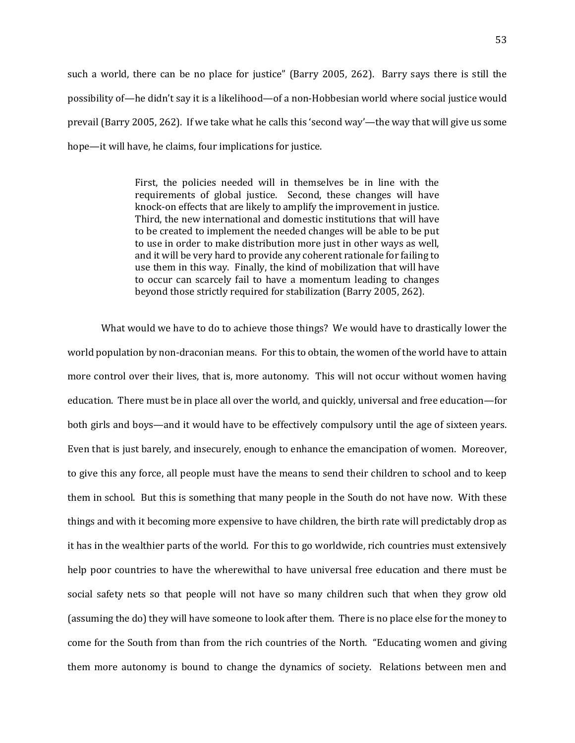such a world, there can be no place for justice" (Barry 2005, 262). Barry says there is still the possibility of—he didn't say it is a likelihood—of a non-Hobbesian world where social justice would prevail (Barry 2005, 262). If we take what he calls this 'second way'—the way that will give us some hope—it will have, he claims, four implications for justice.

> First, the policies needed will in themselves be in line with the requirements of global justice. Second, these changes will have knock-on effects that are likely to amplify the improvement in justice. Third, the new international and domestic institutions that will have to be created to implement the needed changes will be able to be put to use in order to make distribution more just in other ways as well, and it will be very hard to provide any coherent rationale for failing to use them in this way. Finally, the kind of mobilization that will have to occur can scarcely fail to have a momentum leading to changes beyond those strictly required for stabilization (Barry 2005, 262).

What would we have to do to achieve those things? We would have to drastically lower the world population by non-draconian means. For this to obtain, the women of the world have to attain more control over their lives, that is, more autonomy. This will not occur without women having education. There must be in place all over the world, and quickly, universal and free education—for both girls and boys—and it would have to be effectively compulsory until the age of sixteen years. Even that is just barely, and insecurely, enough to enhance the emancipation of women. Moreover, to give this any force, all people must have the means to send their children to school and to keep them in school. But this is something that many people in the South do not have now. With these things and with it becoming more expensive to have children, the birth rate will predictably drop as it has in the wealthier parts of the world. For this to go worldwide, rich countries must extensively help poor countries to have the wherewithal to have universal free education and there must be social safety nets so that people will not have so many children such that when they grow old (assuming the do) they will have someone to look after them. There is no place else for the money to come for the South from than from the rich countries of the North. "Educating women and giving them more autonomy is bound to change the dynamics of society. Relations between men and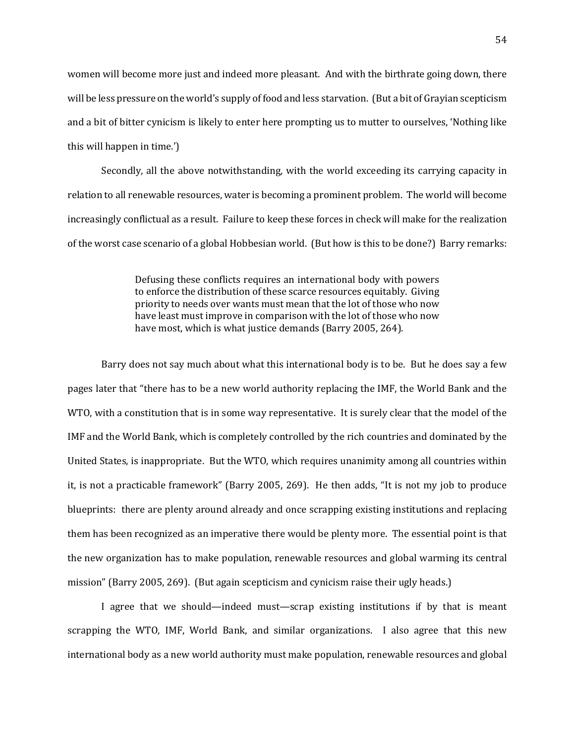women will become more just and indeed more pleasant. And with the birthrate going down, there will be less pressure on the world's supply of food and less starvation. (But a bit of Grayian scepticism and a bit of bitter cynicism is likely to enter here prompting us to mutter to ourselves, 'Nothing like this will happen in time.')

Secondly, all the above notwithstanding, with the world exceeding its carrying capacity in relation to all renewable resources, water is becoming a prominent problem. The world will become increasingly conflictual as a result. Failure to keep these forces in check will make for the realization of the worst case scenario of a global Hobbesian world. (But how is this to be done?) Barry remarks:

> Defusing these conflicts requires an international body with powers to enforce the distribution of these scarce resources equitably. Giving priority to needs over wants must mean that the lot of those who now have least must improve in comparison with the lot of those who now have most, which is what justice demands (Barry 2005, 264).

Barry does not say much about what this international body is to be. But he does say a few pages later that "there has to be a new world authority replacing the IMF, the World Bank and the WTO, with a constitution that is in some way representative. It is surely clear that the model of the IMF and the World Bank, which is completely controlled by the rich countries and dominated by the United States, is inappropriate. But the WTO, which requires unanimity among all countries within it, is not a practicable framework" (Barry 2005, 269). He then adds, "It is not my job to produce blueprints: there are plenty around already and once scrapping existing institutions and replacing them has been recognized as an imperative there would be plenty more. The essential point is that the new organization has to make population, renewable resources and global warming its central mission" (Barry 2005, 269). (But again scepticism and cynicism raise their ugly heads.)

I agree that we should—indeed must—scrap existing institutions if by that is meant scrapping the WTO, IMF, World Bank, and similar organizations. I also agree that this new international body as a new world authority must make population, renewable resources and global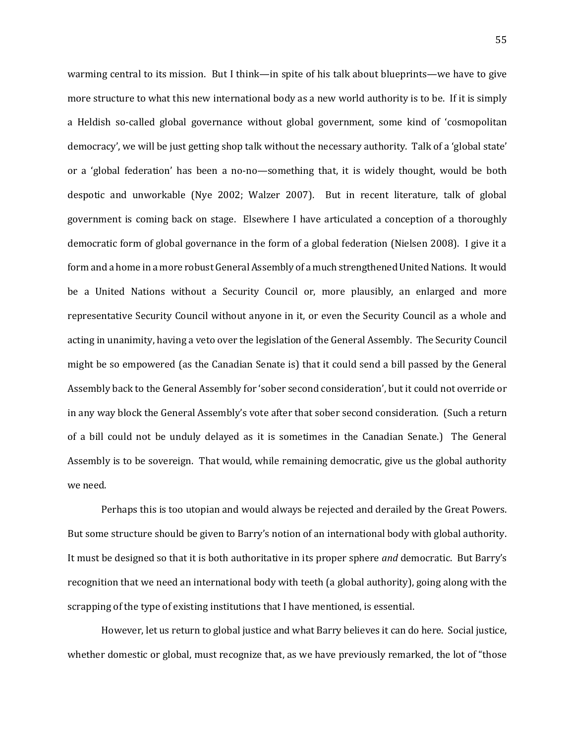warming central to its mission. But I think—in spite of his talk about blueprints—we have to give more structure to what this new international body as a new world authority is to be. If it is simply a Heldish so-called global governance without global government, some kind of 'cosmopolitan democracy', we will be just getting shop talk without the necessary authority. Talk of a 'global state' or a 'global federation' has been a no-no—something that, it is widely thought, would be both despotic and unworkable (Nye 2002; Walzer 2007). But in recent literature, talk of global government is coming back on stage. Elsewhere I have articulated a conception of a thoroughly democratic form of global governance in the form of a global federation (Nielsen 2008). I give it a form and a home in a more robust General Assembly of a much strengthened United Nations. It would be a United Nations without a Security Council or, more plausibly, an enlarged and more representative Security Council without anyone in it, or even the Security Council as a whole and acting in unanimity, having a veto over the legislation of the General Assembly. The Security Council might be so empowered (as the Canadian Senate is) that it could send a bill passed by the General Assembly back to the General Assembly for 'sober second consideration', but it could not override or in any way block the General Assembly's vote after that sober second consideration. (Such a return of a bill could not be unduly delayed as it is sometimes in the Canadian Senate.) The General Assembly is to be sovereign. That would, while remaining democratic, give us the global authority we need.

Perhaps this is too utopian and would always be rejected and derailed by the Great Powers. But some structure should be given to Barry's notion of an international body with global authority. It must be designed so that it is both authoritative in its proper sphere *and* democratic. But Barry's recognition that we need an international body with teeth (a global authority), going along with the scrapping of the type of existing institutions that I have mentioned, is essential.

However, let us return to global justice and what Barry believes it can do here. Social justice, whether domestic or global, must recognize that, as we have previously remarked, the lot of "those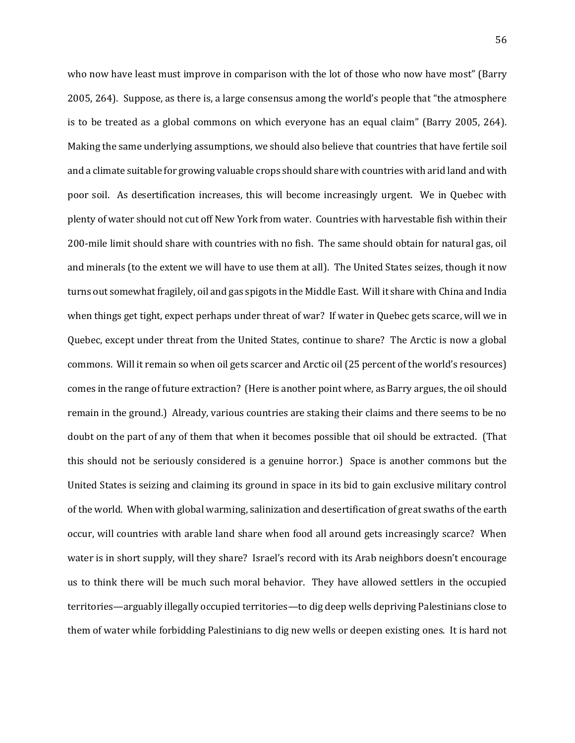who now have least must improve in comparison with the lot of those who now have most" (Barry 2005, 264). Suppose, as there is, a large consensus among the world's people that "the atmosphere is to be treated as a global commons on which everyone has an equal claim" (Barry 2005, 264). Making the same underlying assumptions, we should also believe that countries that have fertile soil and a climate suitable for growing valuable crops should share with countries with arid land and with poor soil. As desertification increases, this will become increasingly urgent. We in Quebec with plenty of water should not cut off New York from water. Countries with harvestable fish within their 200-mile limit should share with countries with no fish. The same should obtain for natural gas, oil and minerals (to the extent we will have to use them at all). The United States seizes, though it now turns out somewhat fragilely, oil and gas spigots in the Middle East. Will it share with China and India when things get tight, expect perhaps under threat of war? If water in Quebec gets scarce, will we in Quebec, except under threat from the United States, continue to share? The Arctic is now a global commons. Will it remain so when oil gets scarcer and Arctic oil (25 percent of the world's resources) comes in the range of future extraction? (Here is another point where, as Barry argues, the oil should remain in the ground.) Already, various countries are staking their claims and there seems to be no doubt on the part of any of them that when it becomes possible that oil should be extracted. (That this should not be seriously considered is a genuine horror.) Space is another commons but the United States is seizing and claiming its ground in space in its bid to gain exclusive military control of the world. When with global warming, salinization and desertification of great swaths of the earth occur, will countries with arable land share when food all around gets increasingly scarce? When water is in short supply, will they share? Israel's record with its Arab neighbors doesn't encourage us to think there will be much such moral behavior. They have allowed settlers in the occupied territories—arguably illegally occupied territories—to dig deep wells depriving Palestinians close to them of water while forbidding Palestinians to dig new wells or deepen existing ones. It is hard not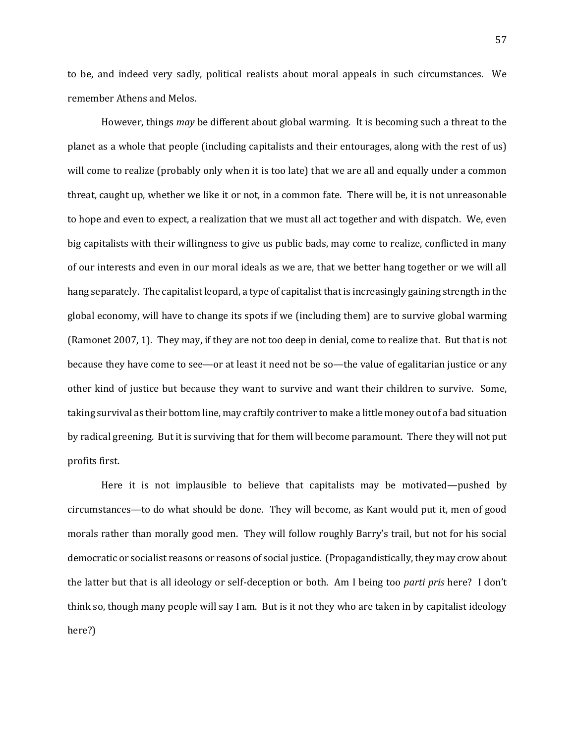to be, and indeed very sadly, political realists about moral appeals in such circumstances. We remember Athens and Melos.

However, things *may* be different about global warming. It is becoming such a threat to the planet as a whole that people (including capitalists and their entourages, along with the rest of us) will come to realize (probably only when it is too late) that we are all and equally under a common threat, caught up, whether we like it or not, in a common fate. There will be, it is not unreasonable to hope and even to expect, a realization that we must all act together and with dispatch. We, even big capitalists with their willingness to give us public bads, may come to realize, conflicted in many of our interests and even in our moral ideals as we are, that we better hang together or we will all hang separately. The capitalist leopard, a type of capitalist that is increasingly gaining strength in the global economy, will have to change its spots if we (including them) are to survive global warming (Ramonet 2007, 1). They may, if they are not too deep in denial, come to realize that. But that is not because they have come to see—or at least it need not be so—the value of egalitarian justice or any other kind of justice but because they want to survive and want their children to survive. Some, taking survival as their bottom line, may craftily contriver to make a little money out of a bad situation by radical greening. But it is surviving that for them will become paramount. There they will not put profits first.

Here it is not implausible to believe that capitalists may be motivated—pushed by circumstances—to do what should be done. They will become, as Kant would put it, men of good morals rather than morally good men. They will follow roughly Barry's trail, but not for his social democratic or socialist reasons or reasons of social justice. (Propagandistically, they may crow about the latter but that is all ideology or self-deception or both. Am I being too *parti pris* here? I don't think so, though many people will say I am. But is it not they who are taken in by capitalist ideology here?)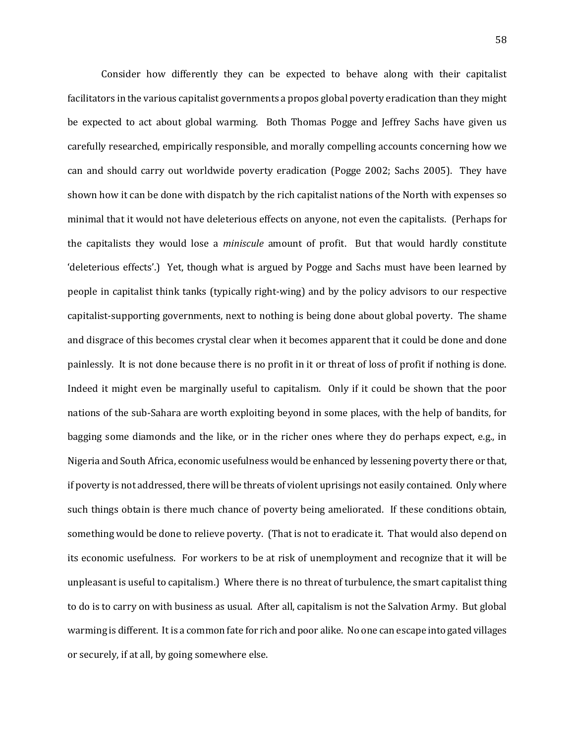Consider how differently they can be expected to behave along with their capitalist facilitators in the various capitalist governments a propos global poverty eradication than they might be expected to act about global warming. Both Thomas Pogge and Jeffrey Sachs have given us carefully researched, empirically responsible, and morally compelling accounts concerning how we can and should carry out worldwide poverty eradication (Pogge 2002; Sachs 2005). They have shown how it can be done with dispatch by the rich capitalist nations of the North with expenses so minimal that it would not have deleterious effects on anyone, not even the capitalists. (Perhaps for the capitalists they would lose a *miniscule* amount of profit. But that would hardly constitute 'deleterious effects'.) Yet, though what is argued by Pogge and Sachs must have been learned by people in capitalist think tanks (typically right-wing) and by the policy advisors to our respective capitalist-supporting governments, next to nothing is being done about global poverty. The shame and disgrace of this becomes crystal clear when it becomes apparent that it could be done and done painlessly. It is not done because there is no profit in it or threat of loss of profit if nothing is done. Indeed it might even be marginally useful to capitalism. Only if it could be shown that the poor nations of the sub-Sahara are worth exploiting beyond in some places, with the help of bandits, for bagging some diamonds and the like, or in the richer ones where they do perhaps expect, e.g., in Nigeria and South Africa, economic usefulness would be enhanced by lessening poverty there or that, if poverty is not addressed, there will be threats of violent uprisings not easily contained. Only where such things obtain is there much chance of poverty being ameliorated. If these conditions obtain, something would be done to relieve poverty. (That is not to eradicate it. That would also depend on its economic usefulness. For workers to be at risk of unemployment and recognize that it will be unpleasant is useful to capitalism.) Where there is no threat of turbulence, the smart capitalist thing to do is to carry on with business as usual. After all, capitalism is not the Salvation Army. But global warming is different. It is a common fate for rich and poor alike. No one can escape into gated villages or securely, if at all, by going somewhere else.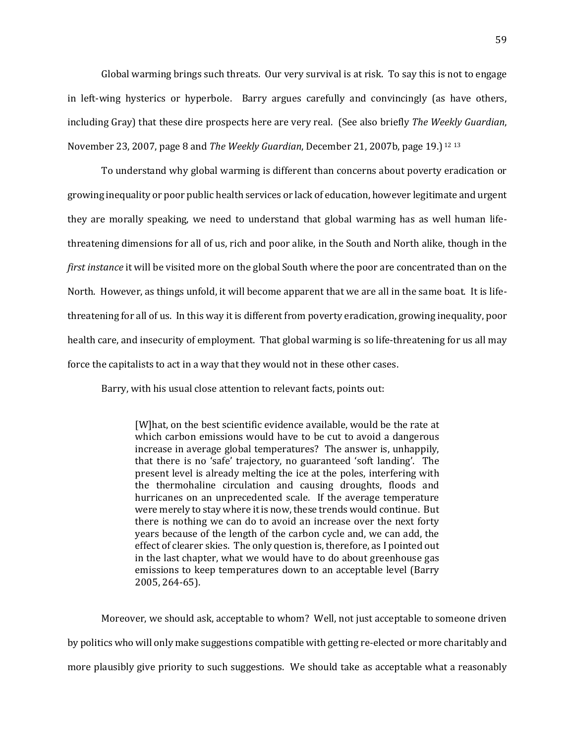Global warming brings such threats. Our very survival is at risk. To say this is not to engage in left-wing hysterics or hyperbole. Barry argues carefully and convincingly (as have others, including Gray) that these dire prospects here are very real. (See also briefly *The Weekly Guardian*, November 23, 2007, page 8 and *The Weekly Guardian*, December 21, 2007b, page 19.) <sup>12</sup> <sup>13</sup>

To understand why global warming is different than concerns about poverty eradication or growing inequality or poor public health services or lack of education, however legitimate and urgent they are morally speaking, we need to understand that global warming has as well human lifethreatening dimensions for all of us, rich and poor alike, in the South and North alike, though in the *first instance* it will be visited more on the global South where the poor are concentrated than on the North. However, as things unfold, it will become apparent that we are all in the same boat. It is lifethreatening for all of us. In this way it is different from poverty eradication, growing inequality, poor health care, and insecurity of employment. That global warming is so life-threatening for us all may force the capitalists to act in a way that they would not in these other cases.

Barry, with his usual close attention to relevant facts, points out:

[W]hat, on the best scientific evidence available, would be the rate at which carbon emissions would have to be cut to avoid a dangerous increase in average global temperatures? The answer is, unhappily, that there is no 'safe' trajectory, no guaranteed 'soft landing'. The present level is already melting the ice at the poles, interfering with the thermohaline circulation and causing droughts, floods and hurricanes on an unprecedented scale. If the average temperature were merely to stay where it is now, these trends would continue. But there is nothing we can do to avoid an increase over the next forty years because of the length of the carbon cycle and, we can add, the effect of clearer skies. The only question is, therefore, as I pointed out in the last chapter, what we would have to do about greenhouse gas emissions to keep temperatures down to an acceptable level (Barry 2005, 264-65).

Moreover, we should ask, acceptable to whom? Well, not just acceptable to someone driven by politics who will only make suggestions compatible with getting re-elected or more charitably and more plausibly give priority to such suggestions. We should take as acceptable what a reasonably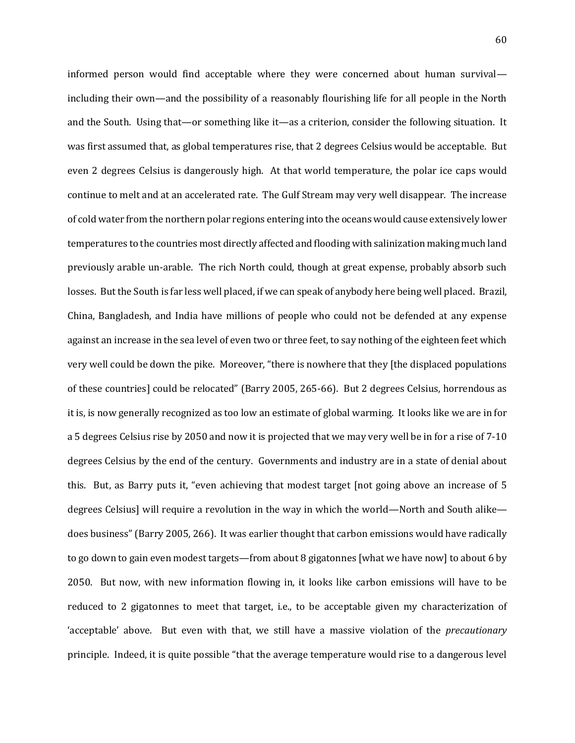informed person would find acceptable where they were concerned about human survival including their own—and the possibility of a reasonably flourishing life for all people in the North and the South. Using that—or something like it—as a criterion, consider the following situation. It was first assumed that, as global temperatures rise, that 2 degrees Celsius would be acceptable. But even 2 degrees Celsius is dangerously high. At that world temperature, the polar ice caps would continue to melt and at an accelerated rate. The Gulf Stream may very well disappear. The increase of cold water from the northern polar regions entering into the oceans would cause extensively lower temperatures to the countries most directly affected and flooding with salinization making much land previously arable un-arable. The rich North could, though at great expense, probably absorb such losses. But the South is far less well placed, if we can speak of anybody here being well placed. Brazil, China, Bangladesh, and India have millions of people who could not be defended at any expense against an increase in the sea level of even two or three feet, to say nothing of the eighteen feet which very well could be down the pike. Moreover, "there is nowhere that they [the displaced populations of these countries] could be relocated" (Barry 2005, 265-66). But 2 degrees Celsius, horrendous as it is, is now generally recognized as too low an estimate of global warming. It looks like we are in for a 5 degrees Celsius rise by 2050 and now it is projected that we may very well be in for a rise of 7-10 degrees Celsius by the end of the century. Governments and industry are in a state of denial about this. But, as Barry puts it, "even achieving that modest target [not going above an increase of 5 degrees Celsius] will require a revolution in the way in which the world—North and South alike does business" (Barry 2005, 266). It was earlier thought that carbon emissions would have radically to go down to gain even modest targets—from about 8 gigatonnes [what we have now] to about 6 by 2050. But now, with new information flowing in, it looks like carbon emissions will have to be reduced to 2 gigatonnes to meet that target, i.e., to be acceptable given my characterization of 'acceptable' above. But even with that, we still have a massive violation of the *precautionary* principle. Indeed, it is quite possible "that the average temperature would rise to a dangerous level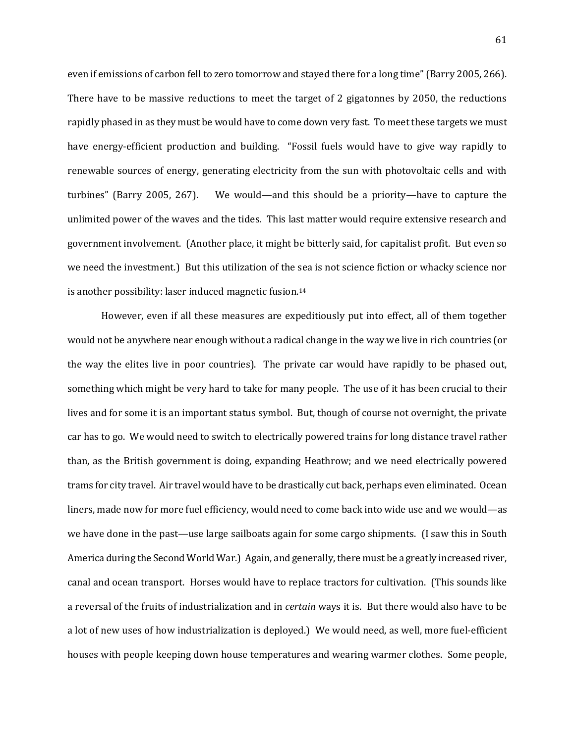even if emissions of carbon fell to zero tomorrow and stayed there for a long time" (Barry 2005, 266). There have to be massive reductions to meet the target of 2 gigatonnes by 2050, the reductions rapidly phased in as they must be would have to come down very fast. To meet these targets we must have energy-efficient production and building. "Fossil fuels would have to give way rapidly to renewable sources of energy, generating electricity from the sun with photovoltaic cells and with turbines" (Barry 2005, 267). We would—and this should be a priority—have to capture the unlimited power of the waves and the tides. This last matter would require extensive research and government involvement. (Another place, it might be bitterly said, for capitalist profit. But even so we need the investment.) But this utilization of the sea is not science fiction or whacky science nor is another possibility: laser induced magnetic fusion.<sup>14</sup>

However, even if all these measures are expeditiously put into effect, all of them together would not be anywhere near enough without a radical change in the way we live in rich countries (or the way the elites live in poor countries). The private car would have rapidly to be phased out, something which might be very hard to take for many people. The use of it has been crucial to their lives and for some it is an important status symbol. But, though of course not overnight, the private car has to go. We would need to switch to electrically powered trains for long distance travel rather than, as the British government is doing, expanding Heathrow; and we need electrically powered trams for city travel. Air travel would have to be drastically cut back, perhaps even eliminated. Ocean liners, made now for more fuel efficiency, would need to come back into wide use and we would—as we have done in the past—use large sailboats again for some cargo shipments. (I saw this in South America during the Second World War.) Again, and generally, there must be a greatly increased river, canal and ocean transport. Horses would have to replace tractors for cultivation. (This sounds like a reversal of the fruits of industrialization and in *certain* ways it is. But there would also have to be a lot of new uses of how industrialization is deployed.) We would need, as well, more fuel-efficient houses with people keeping down house temperatures and wearing warmer clothes. Some people,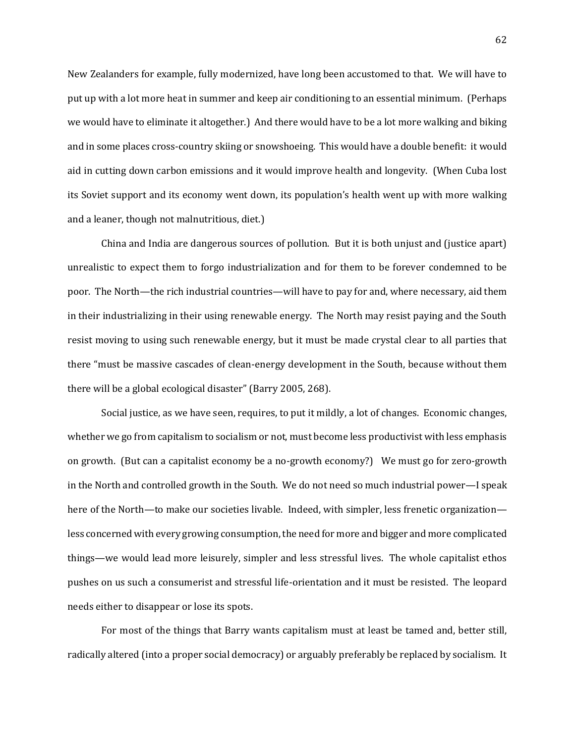New Zealanders for example, fully modernized, have long been accustomed to that. We will have to put up with a lot more heat in summer and keep air conditioning to an essential minimum. (Perhaps we would have to eliminate it altogether.) And there would have to be a lot more walking and biking and in some places cross-country skiing or snowshoeing. This would have a double benefit: it would aid in cutting down carbon emissions and it would improve health and longevity. (When Cuba lost its Soviet support and its economy went down, its population's health went up with more walking and a leaner, though not malnutritious, diet.)

China and India are dangerous sources of pollution. But it is both unjust and (justice apart) unrealistic to expect them to forgo industrialization and for them to be forever condemned to be poor. The North—the rich industrial countries—will have to pay for and, where necessary, aid them in their industrializing in their using renewable energy. The North may resist paying and the South resist moving to using such renewable energy, but it must be made crystal clear to all parties that there "must be massive cascades of clean-energy development in the South, because without them there will be a global ecological disaster" (Barry 2005, 268).

Social justice, as we have seen, requires, to put it mildly, a lot of changes. Economic changes, whether we go from capitalism to socialism or not, must become less productivist with less emphasis on growth. (But can a capitalist economy be a no-growth economy?) We must go for zero-growth in the North and controlled growth in the South. We do not need so much industrial power—I speak here of the North—to make our societies livable. Indeed, with simpler, less frenetic organization less concerned with every growing consumption, the need for more and bigger and more complicated things—we would lead more leisurely, simpler and less stressful lives. The whole capitalist ethos pushes on us such a consumerist and stressful life-orientation and it must be resisted. The leopard needs either to disappear or lose its spots.

For most of the things that Barry wants capitalism must at least be tamed and, better still, radically altered (into a proper social democracy) or arguably preferably be replaced by socialism. It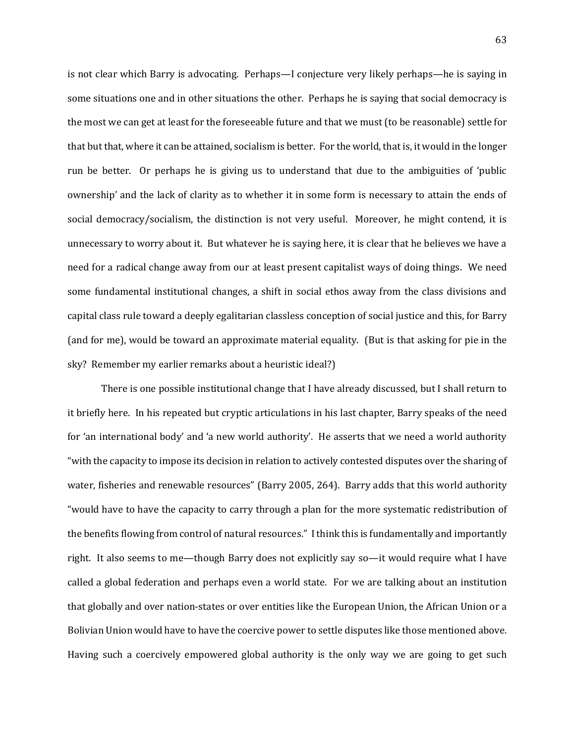is not clear which Barry is advocating. Perhaps—I conjecture very likely perhaps—he is saying in some situations one and in other situations the other. Perhaps he is saying that social democracy is the most we can get at least for the foreseeable future and that we must (to be reasonable) settle for that but that, where it can be attained, socialism is better. For the world, that is, it would in the longer run be better. Or perhaps he is giving us to understand that due to the ambiguities of 'public ownership' and the lack of clarity as to whether it in some form is necessary to attain the ends of social democracy/socialism, the distinction is not very useful. Moreover, he might contend, it is unnecessary to worry about it. But whatever he is saying here, it is clear that he believes we have a need for a radical change away from our at least present capitalist ways of doing things. We need some fundamental institutional changes, a shift in social ethos away from the class divisions and capital class rule toward a deeply egalitarian classless conception of social justice and this, for Barry (and for me), would be toward an approximate material equality. (But is that asking for pie in the sky? Remember my earlier remarks about a heuristic ideal?)

There is one possible institutional change that I have already discussed, but I shall return to it briefly here. In his repeated but cryptic articulations in his last chapter, Barry speaks of the need for 'an international body' and 'a new world authority'. He asserts that we need a world authority "with the capacity to impose its decision in relation to actively contested disputes over the sharing of water, fisheries and renewable resources" (Barry 2005, 264). Barry adds that this world authority "would have to have the capacity to carry through a plan for the more systematic redistribution of the benefits flowing from control of natural resources." I think this is fundamentally and importantly right. It also seems to me—though Barry does not explicitly say so—it would require what I have called a global federation and perhaps even a world state. For we are talking about an institution that globally and over nation-states or over entities like the European Union, the African Union or a Bolivian Union would have to have the coercive power to settle disputes like those mentioned above. Having such a coercively empowered global authority is the only way we are going to get such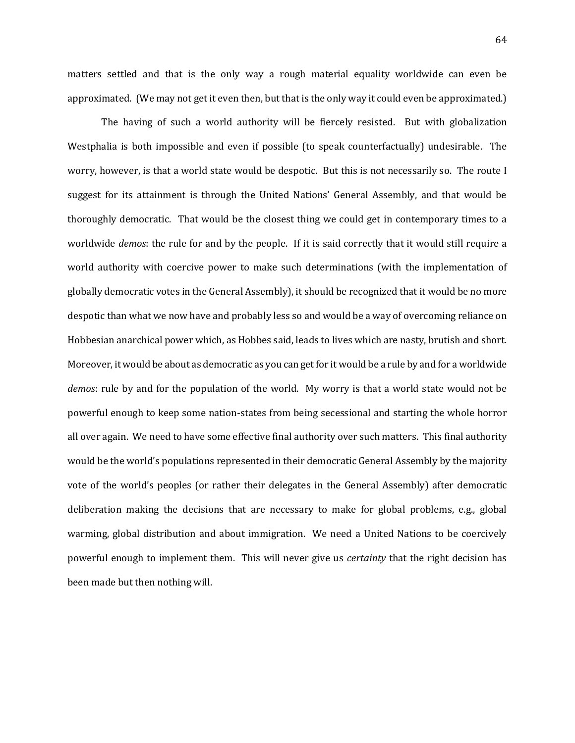matters settled and that is the only way a rough material equality worldwide can even be approximated. (We may not get it even then, but that is the only way it could even be approximated.)

The having of such a world authority will be fiercely resisted. But with globalization Westphalia is both impossible and even if possible (to speak counterfactually) undesirable. The worry, however, is that a world state would be despotic. But this is not necessarily so. The route I suggest for its attainment is through the United Nations' General Assembly, and that would be thoroughly democratic. That would be the closest thing we could get in contemporary times to a worldwide *demos*: the rule for and by the people. If it is said correctly that it would still require a world authority with coercive power to make such determinations (with the implementation of globally democratic votes in the General Assembly), it should be recognized that it would be no more despotic than what we now have and probably less so and would be a way of overcoming reliance on Hobbesian anarchical power which, as Hobbes said, leads to lives which are nasty, brutish and short. Moreover, it would be about as democratic as you can get for it would be a rule by and for a worldwide *demos*: rule by and for the population of the world. My worry is that a world state would not be powerful enough to keep some nation-states from being secessional and starting the whole horror all over again. We need to have some effective final authority over such matters. This final authority would be the world's populations represented in their democratic General Assembly by the majority vote of the world's peoples (or rather their delegates in the General Assembly) after democratic deliberation making the decisions that are necessary to make for global problems, e.g., global warming, global distribution and about immigration. We need a United Nations to be coercively powerful enough to implement them. This will never give us *certainty* that the right decision has been made but then nothing will.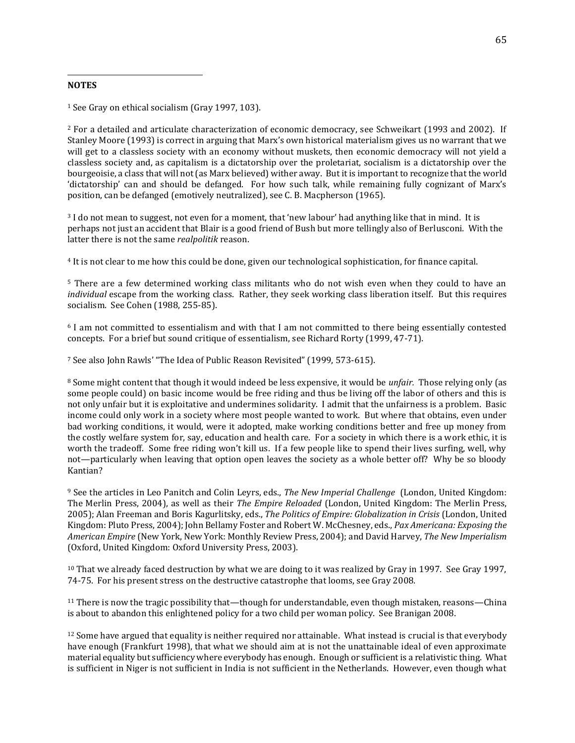### **NOTES**

 $\overline{a}$ 

<sup>1</sup> See Gray on ethical socialism (Gray 1997, 103).

<sup>2</sup> For a detailed and articulate characterization of economic democracy, see Schweikart (1993 and 2002). If Stanley Moore (1993) is correct in arguing that Marx's own historical materialism gives us no warrant that we will get to a classless society with an economy without muskets, then economic democracy will not yield a classless society and, as capitalism is a dictatorship over the proletariat, socialism is a dictatorship over the bourgeoisie, a class that will not (as Marx believed) wither away. But it is important to recognize that the world 'dictatorship' can and should be defanged. For how such talk, while remaining fully cognizant of Marx's position, can be defanged (emotively neutralized), see C. B. Macpherson (1965).

<sup>3</sup> I do not mean to suggest, not even for a moment, that 'new labour' had anything like that in mind. It is perhaps not just an accident that Blair is a good friend of Bush but more tellingly also of Berlusconi. With the latter there is not the same *realpolitik* reason.

<sup>4</sup> It is not clear to me how this could be done, given our technological sophistication, for finance capital.

<sup>5</sup> There are a few determined working class militants who do not wish even when they could to have an *individual* escape from the working class. Rather, they seek working class liberation itself. But this requires socialism. See Cohen (1988, 255-85).

<sup>6</sup> I am not committed to essentialism and with that I am not committed to there being essentially contested concepts. For a brief but sound critique of essentialism, see Richard Rorty (1999, 47-71).

<sup>7</sup> See also John Rawls' "The Idea of Public Reason Revisited" (1999, 573-615).

<sup>8</sup> Some might content that though it would indeed be less expensive, it would be *unfair.* Those relying only (as some people could) on basic income would be free riding and thus be living off the labor of others and this is not only unfair but it is exploitative and undermines solidarity. I admit that the unfairness is a problem. Basic income could only work in a society where most people wanted to work. But where that obtains, even under bad working conditions, it would, were it adopted, make working conditions better and free up money from the costly welfare system for, say, education and health care. For a society in which there is a work ethic, it is worth the tradeoff. Some free riding won't kill us. If a few people like to spend their lives surfing, well, why not—particularly when leaving that option open leaves the society as a whole better off? Why be so bloody Kantian?

<sup>9</sup> See the articles in Leo Panitch and Colin Leyrs, eds., *The New Imperial Challenge* (London, United Kingdom: The Merlin Press, 2004), as well as their *The Empire Reloaded* (London, United Kingdom: The Merlin Press, 2005); Alan Freeman and Boris Kagurlitsky, eds., *The Politics of Empire: Globalization in Crisis* (London, United Kingdom: Pluto Press, 2004); John Bellamy Foster and Robert W. McChesney, eds., *Pax Americana: Exposing the American Empire* (New York, New York: Monthly Review Press, 2004); and David Harvey, *The New Imperialism*  (Oxford, United Kingdom: Oxford University Press, 2003).

<sup>10</sup> That we already faced destruction by what we are doing to it was realized by Gray in 1997. See Gray 1997, 74-75. For his present stress on the destructive catastrophe that looms, see Gray 2008.

<sup>11</sup> There is now the tragic possibility that—though for understandable, even though mistaken, reasons—China is about to abandon this enlightened policy for a two child per woman policy. See Branigan 2008.

 $12$  Some have argued that equality is neither required nor attainable. What instead is crucial is that everybody have enough (Frankfurt 1998), that what we should aim at is not the unattainable ideal of even approximate material equality but sufficiency where everybody has enough. Enough or sufficient is a relativistic thing. What is sufficient in Niger is not sufficient in India is not sufficient in the Netherlands. However, even though what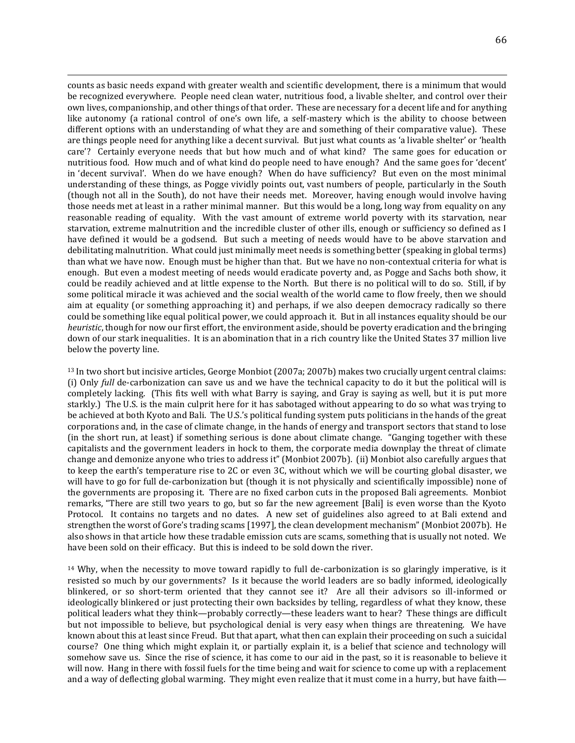counts as basic needs expand with greater wealth and scientific development, there is a minimum that would be recognized everywhere. People need clean water, nutritious food, a livable shelter, and control over their own lives, companionship, and other things of that order. These are necessary for a decent life and for anything like autonomy (a rational control of one's own life, a self-mastery which is the ability to choose between different options with an understanding of what they are and something of their comparative value). These are things people need for anything like a decent survival. But just what counts as 'a livable shelter' or 'health care'? Certainly everyone needs that but how much and of what kind? The same goes for education or nutritious food. How much and of what kind do people need to have enough? And the same goes for 'decent' in 'decent survival'. When do we have enough? When do have sufficiency? But even on the most minimal understanding of these things, as Pogge vividly points out, vast numbers of people, particularly in the South (though not all in the South), do not have their needs met. Moreover, having enough would involve having those needs met at least in a rather minimal manner. But this would be a long, long way from equality on any reasonable reading of equality. With the vast amount of extreme world poverty with its starvation, near starvation, extreme malnutrition and the incredible cluster of other ills, enough or sufficiency so defined as I have defined it would be a godsend. But such a meeting of needs would have to be above starvation and debilitating malnutrition. What could just minimally meet needs is something better (speaking in global terms) than what we have now. Enough must be higher than that. But we have no non-contextual criteria for what is enough. But even a modest meeting of needs would eradicate poverty and, as Pogge and Sachs both show, it could be readily achieved and at little expense to the North. But there is no political will to do so. Still, if by some political miracle it was achieved and the social wealth of the world came to flow freely, then we should aim at equality (or something approaching it) and perhaps, if we also deepen democracy radically so there could be something like equal political power, we could approach it. But in all instances equality should be our *heuristic*, though for now our first effort, the environment aside, should be poverty eradication and the bringing down of our stark inequalities. It is an abomination that in a rich country like the United States 37 million live below the poverty line.

 $\overline{a}$ 

<sup>13</sup> In two short but incisive articles, George Monbiot (2007a; 2007b) makes two crucially urgent central claims: (i) Only *full* de-carbonization can save us and we have the technical capacity to do it but the political will is completely lacking. (This fits well with what Barry is saying, and Gray is saying as well, but it is put more starkly.) The U.S. is the main culprit here for it has sabotaged without appearing to do so what was trying to be achieved at both Kyoto and Bali. The U.S.'s political funding system puts politicians in the hands of the great corporations and, in the case of climate change, in the hands of energy and transport sectors that stand to lose (in the short run, at least) if something serious is done about climate change. "Ganging together with these capitalists and the government leaders in hock to them, the corporate media downplay the threat of climate change and demonize anyone who tries to address it" (Monbiot 2007b). (ii) Monbiot also carefully argues that to keep the earth's temperature rise to 2C or even 3C, without which we will be courting global disaster, we will have to go for full de-carbonization but (though it is not physically and scientifically impossible) none of the governments are proposing it. There are no fixed carbon cuts in the proposed Bali agreements. Monbiot remarks, "There are still two years to go, but so far the new agreement [Bali] is even worse than the Kyoto Protocol. It contains no targets and no dates. A new set of guidelines also agreed to at Bali extend and strengthen the worst of Gore's trading scams [1997], the clean development mechanism" (Monbiot 2007b). He also shows in that article how these tradable emission cuts are scams, something that is usually not noted. We have been sold on their efficacy. But this is indeed to be sold down the river.

<sup>14</sup> Why, when the necessity to move toward rapidly to full de-carbonization is so glaringly imperative, is it resisted so much by our governments? Is it because the world leaders are so badly informed, ideologically blinkered, or so short-term oriented that they cannot see it? Are all their advisors so ill-informed or ideologically blinkered or just protecting their own backsides by telling, regardless of what they know, these political leaders what they think—probably correctly—these leaders want to hear? These things are difficult but not impossible to believe, but psychological denial is very easy when things are threatening. We have known about this at least since Freud. But that apart, what then can explain their proceeding on such a suicidal course? One thing which might explain it, or partially explain it, is a belief that science and technology will somehow save us. Since the rise of science, it has come to our aid in the past, so it is reasonable to believe it will now. Hang in there with fossil fuels for the time being and wait for science to come up with a replacement and a way of deflecting global warming. They might even realize that it must come in a hurry, but have faith